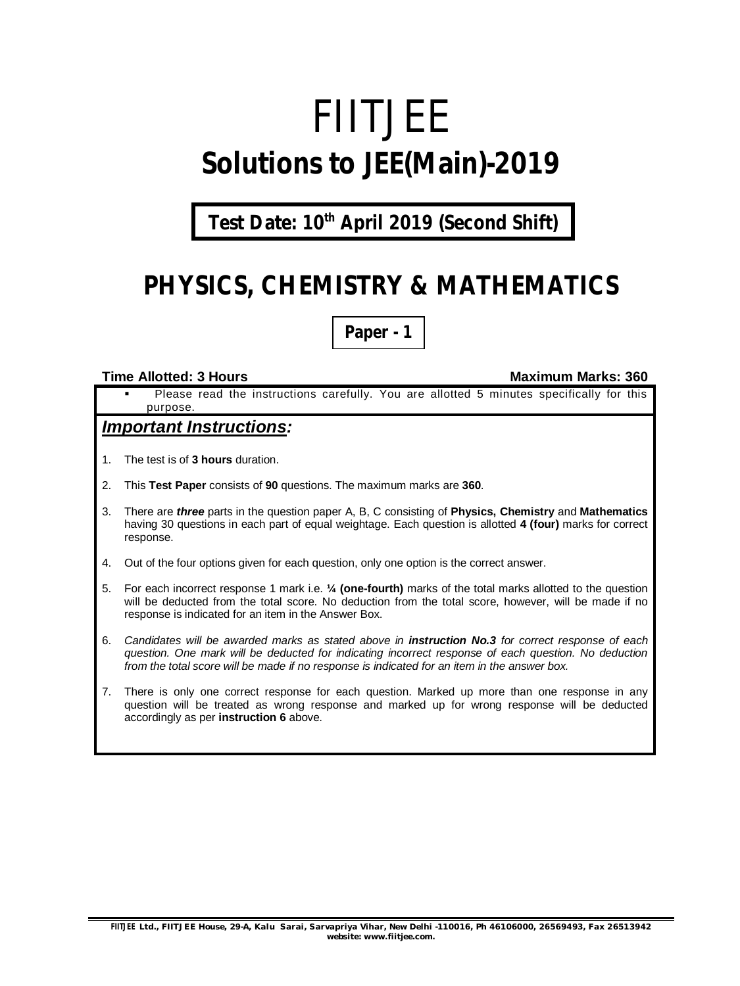# FIITJEE **Solutions to JEE(Main)-2019**

**Test Date: 10th April 2019 (Second Shift)**

# **PHYSICS, CHEMISTRY & MATHEMATICS**

**Paper - 1**

#### **Time Allotted: 3 Hours Maximum Marks: 360**

 Please read the instructions carefully. You are allotted 5 minutes specifically for this purpose.

### *Important Instructions:*

- 1. The test is of **3 hours** duration.
- 2. This **Test Paper** consists of **90** questions. The maximum marks are **360**.
- 3. There are *three* parts in the question paper A, B, C consisting of **Physics, Chemistry** and **Mathematics** having 30 questions in each part of equal weightage. Each question is allotted **4 (four)** marks for correct response.
- 4. Out of the four options given for each question, only one option is the correct answer.
- 5. For each incorrect response 1 mark i.e. **¼ (one-fourth)** marks of the total marks allotted to the question will be deducted from the total score. No deduction from the total score, however, will be made if no response is indicated for an item in the Answer Box.
- 6. *Candidates will be awarded marks as stated above in instruction No.3 for correct response of each question. One mark will be deducted for indicating incorrect response of each question. No deduction from the total score will be made if no response is indicated for an item in the answer box.*
- 7. There is only one correct response for each question. Marked up more than one response in any question will be treated as wrong response and marked up for wrong response will be deducted accordingly as per **instruction 6** above.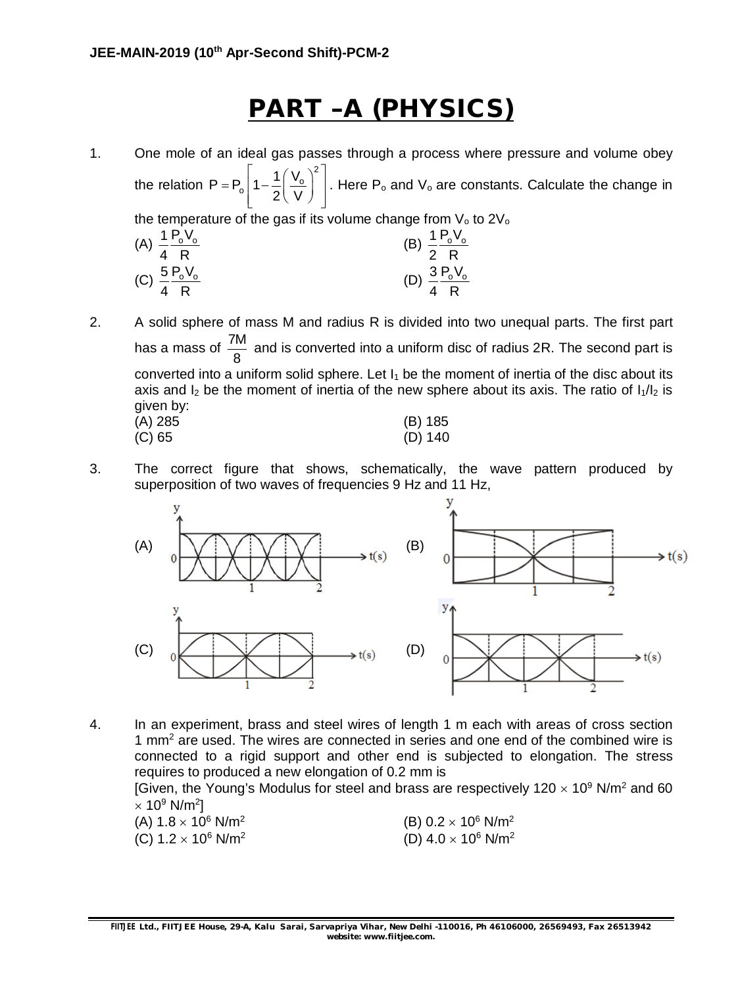# **PART –A (PHYSICS)**

- 1. One mole of an ideal gas passes through a process where pressure and volume obey the relation 2  $\frac{1}{2}$  1 -  $\frac{1}{2}$   $\frac{v_0}{v_0}$  $P = P_0 \left[ 1 - \frac{1}{2} \right] \frac{V_0}{V_0}$ 2\ V  $\left| \begin{array}{cc} 1 & \left( V_{o} \right)^{2} \end{array} \right|$  $= P_o \left[ 1 - \frac{1}{2} \left( \frac{v_o}{V} \right) \right]$ . Here  $P_o$  and  $V_o$  are constants. Calculate the change in the temperature of the gas if its volume change from  $V_0$  to  $2V_0$ (A)  $\frac{1}{4} \frac{P_0 V_0}{P_0}$ 4 R (B)  $\frac{1}{2} \frac{P_0 V_0}{P_0}$ 2 R (C)  $\frac{5 \text{ P}_0 \text{V}_0}{2 \text{ P}_0}$ 4 R (D)  $\frac{3}{4} \frac{P_0 V_0}{P_0}$ 4 R
- 2. A solid sphere of mass M and radius R is divided into two unequal parts. The first part has a mass of  $\frac{7M}{3}$ 8 and is converted into a uniform disc of radius 2R. The second part is converted into a uniform solid sphere. Let  $I_1$  be the moment of inertia of the disc about its axis and  $I_2$  be the moment of inertia of the new sphere about its axis. The ratio of  $I_1/I_2$  is given by: (A) 285 (B) 185 (C) 65 (D) 140
- 3. The correct figure that shows, schematically, the wave pattern produced by superposition of two waves of frequencies 9 Hz and 11 Hz,



4. In an experiment, brass and steel wires of length 1 m each with areas of cross section 1 mm<sup>2</sup> are used. The wires are connected in series and one end of the combined wire is connected to a rigid support and other end is subjected to elongation. The stress requires to produced a new elongation of 0.2 mm is

[Given, the Young's Modulus for steel and brass are respectively  $120 \times 10^9$  N/m<sup>2</sup> and 60  $\times$  10 $^9$  N/m $^2$ ]

| (A) $1.8 \times 10^6$ N/m <sup>2</sup>            | (B) $0.2 \times 10^6$ N/m <sup>2</sup> |
|---------------------------------------------------|----------------------------------------|
| (C) 1.2 $\times$ 10 <sup>6</sup> N/m <sup>2</sup> | (D) $4.0 \times 10^6$ N/m <sup>2</sup> |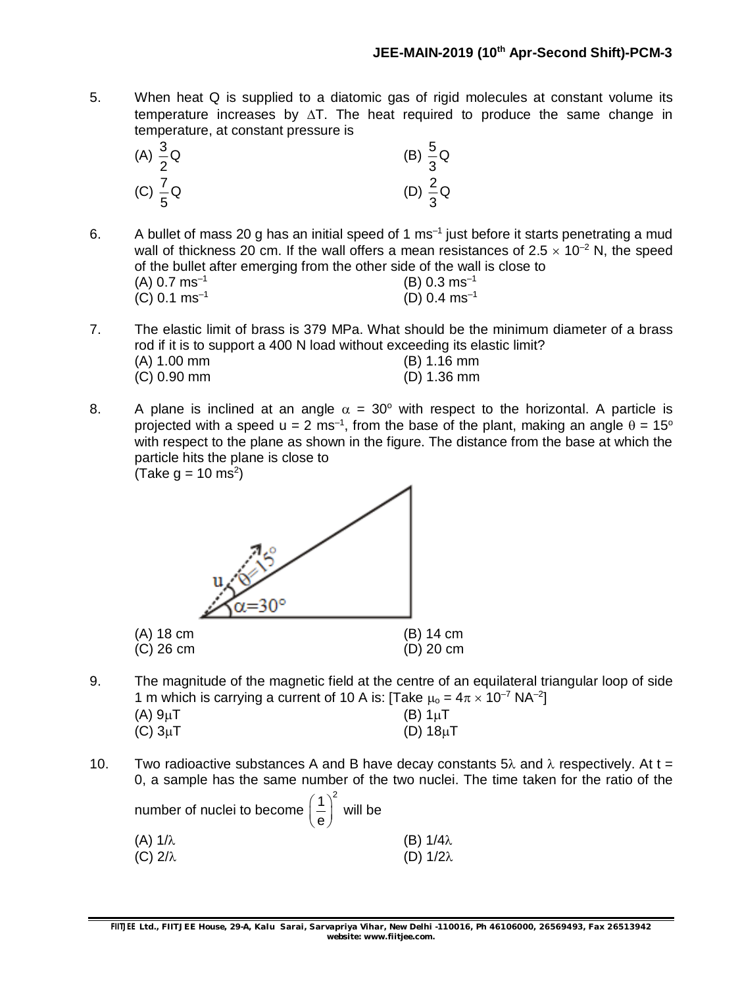- 5. When heat Q is supplied to a diatomic gas of rigid molecules at constant volume its temperature increases by  $\Delta T$ . The heat required to produce the same change in temperature, at constant pressure is
	- (A)  $\frac{3}{6}$  Q 2 (B)  $\frac{5}{6}$ Q 3  $(C) \frac{7}{5}Q$ 5 (D)  $\frac{2}{3}$ Q 3
- 6. A bullet of mass 20 g has an initial speed of 1 ms<sup>-1</sup> just before it starts penetrating a mud wall of thickness 20 cm. If the wall offers a mean resistances of  $2.5 \times 10^{-2}$  N, the speed of the bullet after emerging from the other side of the wall is close to  $(A)$  0.7 ms<sup>-1</sup> (B) 0.3 ms–1  $(C)$  0.1 ms<sup>-1</sup> (D)  $0.4 \text{ ms}^{-1}$
- 7. The elastic limit of brass is 379 MPa. What should be the minimum diameter of a brass rod if it is to support a 400 N load without exceeding its elastic limit? (A) 1.00 mm (B) 1.16 mm (C) 0.90 mm (D) 1.36 mm
- 8. A plane is inclined at an angle  $\alpha = 30^{\circ}$  with respect to the horizontal. A particle is projected with a speed u = 2 ms<sup>-1</sup>, from the base of the plant, making an angle  $\theta$  = 15° with respect to the plane as shown in the figure. The distance from the base at which the particle hits the plane is close to (Take  $g = 10 \text{ ms}^2$ )

(A) 18 cm (B) 14 cm (C) 26 cm (D) 20 cm

- 9. The magnitude of the magnetic field at the centre of an equilateral triangular loop of side 1 m which is carrying a current of 10 A is: [Take  $\mu_0 = 4\pi \times 10^{-7}$  NA<sup>-2</sup>] (A)  $9\mu$ T (B)  $1\mu$ T (C)  $3\mu$ T (D)  $18\mu$ T
- 10. Two radioactive substances A and B have decay constants 5 $\lambda$  and  $\lambda$  respectively. At t = 0, a sample has the same number of the two nuclei. The time taken for the ratio of the

| number of nuclei to become $\left(\frac{1}{e}\right)^2$ will be |  |                  |
|-----------------------------------------------------------------|--|------------------|
| (A) $1/\lambda$                                                 |  | (B) $1/4\lambda$ |
| (C) $2/\lambda$                                                 |  | (D) $1/2\lambda$ |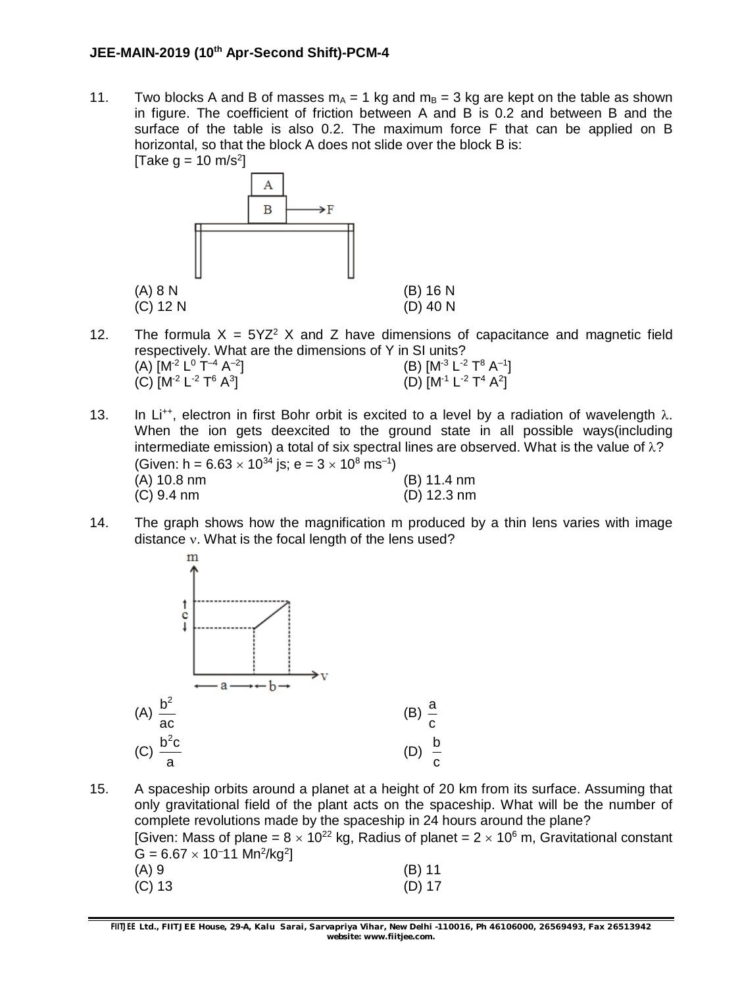11. Two blocks A and B of masses  $m_A = 1$  kg and  $m_B = 3$  kg are kept on the table as shown in figure. The coefficient of friction between A and B is 0.2 and between B and the surface of the table is also 0.2. The maximum force F that can be applied on B horizontal, so that the block A does not slide over the block B is:



- 12. The formula  $X = 5YZ^2$  X and Z have dimensions of capacitance and magnetic field respectively. What are the dimensions of Y in SI units? (A)  $[M^{-2} L^{0} T^{-4} A^{-2}]$ ]  $(B) [M^3 L^2 T^8 A^{-1}]$ (C) [M<sup>-2</sup> L<sup>-2</sup> T $^6$  A<sup>3</sup>  $[D) [M^{-1} L^{-2} T^4 A^2]$
- 13. In Li<sup>++</sup>, electron in first Bohr orbit is excited to a level by a radiation of wavelength  $\lambda$ . When the ion gets deexcited to the ground state in all possible ways(including intermediate emission) a total of six spectral lines are observed. What is the value of  $\lambda$ ? (Given: h = 6.63  $\times$  10<sup>34</sup> js; e = 3  $\times$  10<sup>8</sup> ms<sup>-1</sup>) (A) 10.8 nm (B) 11.4 nm (C) 9.4 nm (D) 12.3 nm
- 14. The graph shows how the magnification m produced by a thin lens varies with image distance  $v$ . What is the focal length of the lens used?



15. A spaceship orbits around a planet at a height of 20 km from its surface. Assuming that only gravitational field of the plant acts on the spaceship. What will be the number of complete revolutions made by the spaceship in 24 hours around the plane? [Given: Mass of plane =  $8 \times 10^{22}$  kg, Radius of planet =  $2 \times 10^6$  m, Gravitational constant  $G = 6.67 \times 10^{-11}$  Mn<sup>2</sup>/kg<sup>2</sup>]

| (A) 9    | $(B)$ 11 |
|----------|----------|
| $(C)$ 13 | $(D)$ 17 |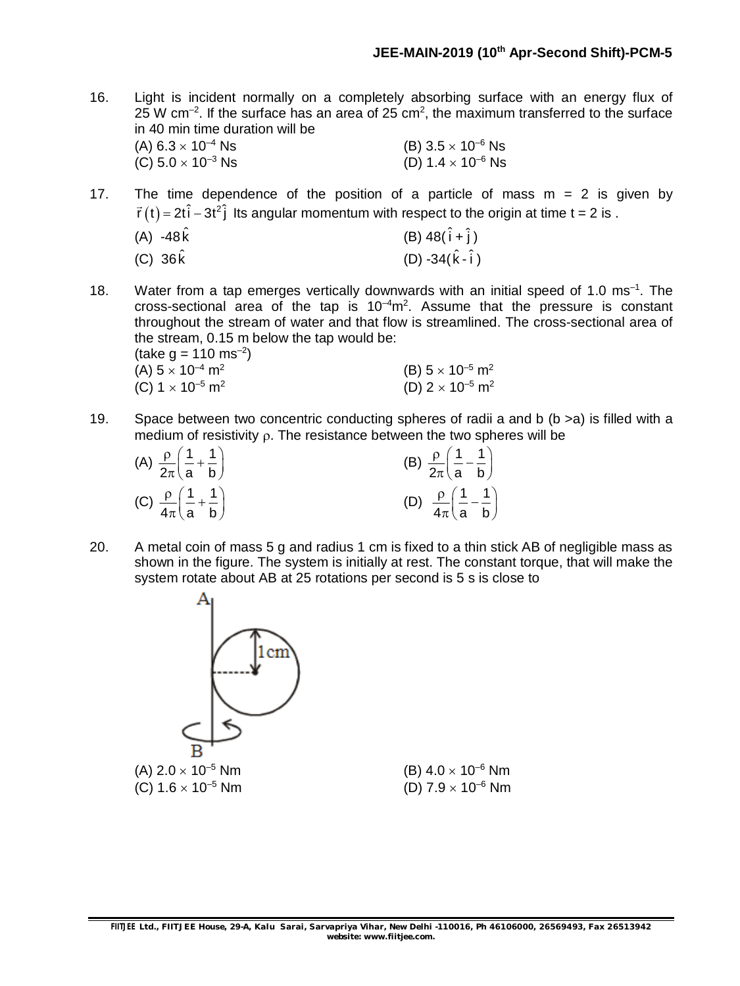16. Light is incident normally on a completely absorbing surface with an energy flux of 25 W cm<sup>-2</sup>. If the surface has an area of 25 cm<sup>2</sup>, the maximum transferred to the surface in 40 min time duration will be (A)  $6.3 \times 10^{-4}$  Ns <br>
(C)  $5.0 \times 10^{-3}$  Ns <br>
(D)  $1.4 \times 10^{-6}$  Ns (C)  $5.0 \times 10^{-3}$  Ns

- 17. The time dependence of the position of a particle of mass  $m = 2$  is given by  $\vec{r}(t) = 2t\hat{i} - 3t^2\hat{j}$  $\ddot{\ }$ Its angular momentum with respect to the origin at time t = 2 is .
	- (A)  $-48\hat{k}$  (B)  $48(\hat{i} + \hat{j})$
	- (C)  $36 \hat{k}$  (D)  $-34(\hat{k}-\hat{i})$
- 18. Water from a tap emerges vertically downwards with an initial speed of 1.0 ms<sup>-1</sup>. The cross-sectional area of the tap is  $10^{-4}$ m<sup>2</sup>. Assume that the pressure is constant throughout the stream of water and that flow is streamlined. The cross-sectional area of the stream, 0.15 m below the tap would be:
	- $(take g = 110 ms^{-2})$ (A)  $5 \times 10^{-4}$  m<sup>2</sup> (B)  $5 \times 10^{-5}$  m<sup>2</sup> (C)  $1 \times 10^{-5}$  m<sup>2</sup> (D) 2  $\times$  10<sup>–5</sup> m<sup>2</sup>
- 19. Space between two concentric conducting spheres of radii a and b (b >a) is filled with a medium of resistivity  $\rho$ . The resistance between the two spheres will be

| (A) $\frac{\rho}{2\pi} \left( \frac{1}{a} + \frac{1}{b} \right)$ | (B) $\frac{\rho}{2\pi} \left( \frac{1}{a} - \frac{1}{b} \right)$ |
|------------------------------------------------------------------|------------------------------------------------------------------|
| (C) $\frac{\rho}{4\pi} \left( \frac{1}{a} + \frac{1}{b} \right)$ | (D) $\frac{\rho}{4\pi} \left( \frac{1}{a} - \frac{1}{b} \right)$ |

20. A metal coin of mass 5 g and radius 1 cm is fixed to a thin stick AB of negligible mass as shown in the figure. The system is initially at rest. The constant torque, that will make the system rotate about AB at 25 rotations per second is 5 s is close to

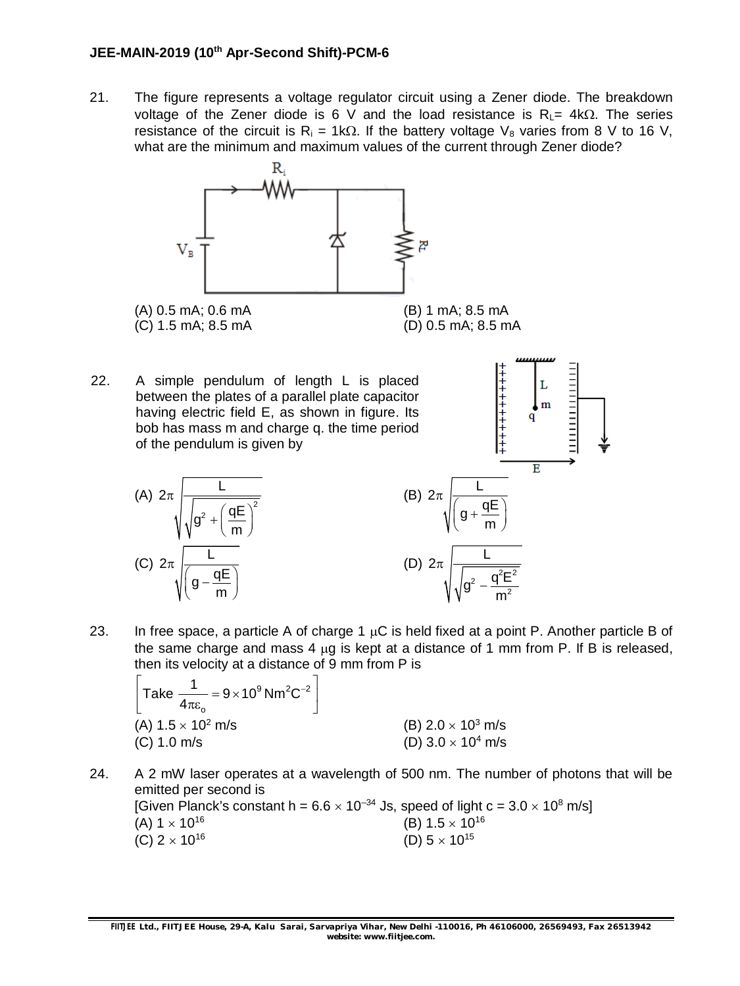21. The figure represents a voltage regulator circuit using a Zener diode. The breakdown voltage of the Zener diode is 6 V and the load resistance is  $R<sub>L</sub> = 4k $\Omega$ . The series$ resistance of the circuit is  $R_i = 1k\Omega$ . If the battery voltage  $V_8$  varies from 8 V to 16 V, what are the minimum and maximum values of the current through Zener diode?



22. A simple pendulum of length L is placed between the plates of a parallel plate capacitor having electric field E, as shown in figure. Its bob has mass m and charge q. the time period of the pendulum is given by



23. In free space, a particle A of charge 1  $\mu$ C is held fixed at a point P. Another particle B of the same charge and mass 4  $\mu$ g is kept at a distance of 1 mm from P. If B is released, then its velocity at a distance of 9 mm from P is

-+++++++++

$$
\[ \text{Take } \frac{1}{4\pi\varepsilon_o} = 9 \times 10^9 \text{ Nm}^2\text{C}^{-2} \]
$$
  
(A) 1.5 × 10<sup>2</sup> m/s  
(C) 1.0 m/s  
(D) 3.0 × 10<sup>4</sup> m/s

24. A 2 mW laser operates at a wavelength of 500 nm. The number of photons that will be emitted per second is [Given Planck's constant h =  $6.6 \times 10^{-34}$  Js, speed of light c =  $3.0 \times 10^8$  m/s] (A)  $1 \times 10^{16}$  (B)  $1.5 \times 10^{16}$  <br> (C)  $2 \times 10^{16}$  (D)  $5 \times 10^{15}$ (C)  $2 \times 10^{16}$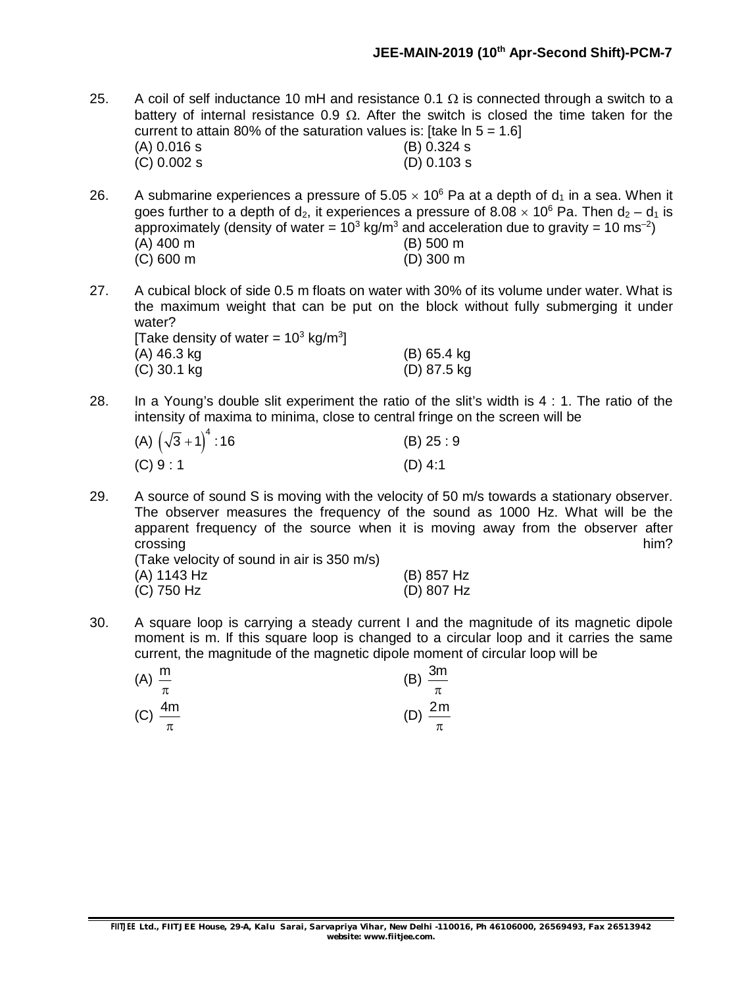- 25. A coil of self inductance 10 mH and resistance 0.1  $\Omega$  is connected through a switch to a battery of internal resistance 0.9  $\Omega$ . After the switch is closed the time taken for the current to attain 80% of the saturation values is: [take  $\ln 5 = 1.6$ ] (A) 0.016 s (B) 0.324 s (C) 0.002 s (D) 0.103 s
- 26. A submarine experiences a pressure of  $5.05 \times 10^6$  Pa at a depth of  $d_1$  in a sea. When it goes further to a depth of  $d_2$ , it experiences a pressure of 8.08  $\times$  10<sup>6</sup> Pa. Then  $d_2 - d_1$  is approximately (density of water = 10<sup>3</sup> kg/m<sup>3</sup> and acceleration due to gravity = 10 ms<sup>-2</sup>) (A) 400 m (B) 500 m (C) 600 m (D) 300 m
- 27. A cubical block of side 0.5 m floats on water with 30% of its volume under water. What is the maximum weight that can be put on the block without fully submerging it under water? [Take density of water =  $10^3$  kg/m<sup>3</sup>]

| $\left  \right $ rake defisity of water $= 10^{\circ}$ Kg/m <sup>-</sup> |               |
|--------------------------------------------------------------------------|---------------|
| (A) 46.3 kg                                                              | $(B)$ 65.4 kg |
| $(C)$ 30.1 kg                                                            | (D) 87.5 kg   |

28. In a Young's double slit experiment the ratio of the slit's width is 4 : 1. The ratio of the intensity of maxima to minima, close to central fringe on the screen will be

| (A) $(\sqrt{3}+1)^4$ : 16 | (B) 25:9  |
|---------------------------|-----------|
| (C) 9:1                   | $(D)$ 4:1 |

29. A source of sound S is moving with the velocity of 50 m/s towards a stationary observer. The observer measures the frequency of the sound as 1000 Hz. What will be the apparent frequency of the source when it is moving away from the observer after crossing him?

(Take velocity of sound in air is 350 m/s) (A) 1143 Hz (B) 857 Hz  $(C)$  750 Hz

| $(B)$ 857 Hz |
|--------------|
| (D) 807 Hz   |

30. A square loop is carrying a steady current I and the magnitude of its magnetic dipole moment is m. If this square loop is changed to a circular loop and it carries the same current, the magnitude of the magnetic dipole moment of circular loop will be

| $(A) \frac{m}{m}$ | π                         | (B) $\frac{3m}{\pi}$    |
|-------------------|---------------------------|-------------------------|
|                   | $(C)$ $\frac{4m}{1}$<br>π | (D) $\frac{2m}{2}$<br>π |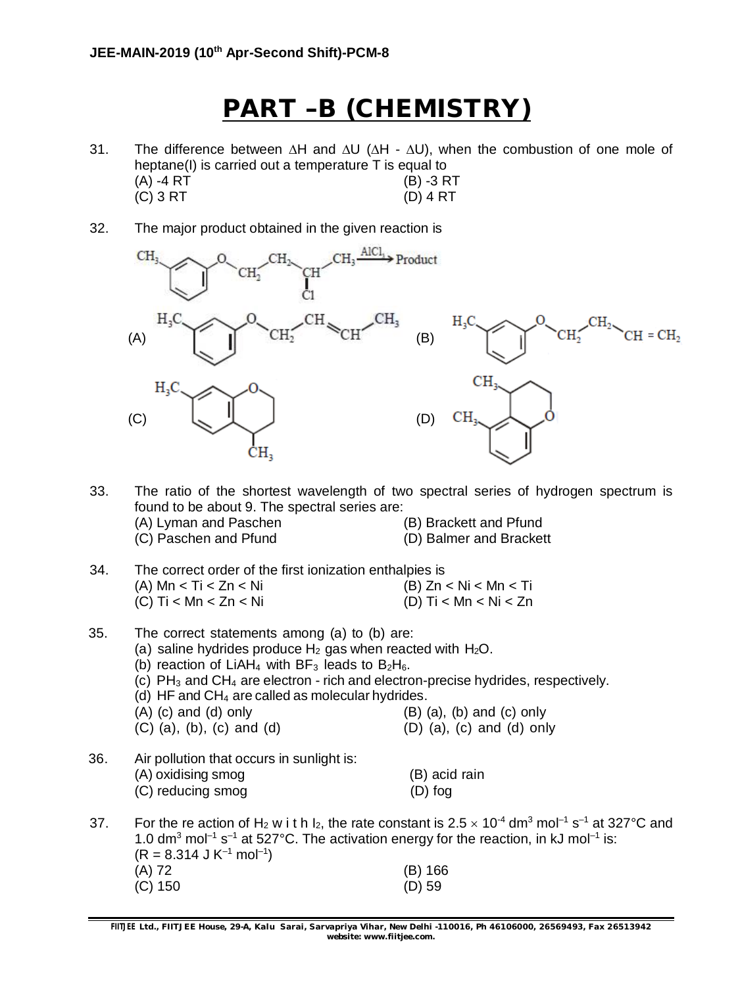# **PART –B (CHEMISTRY)**

- 31. The difference between  $\Delta H$  and  $\Delta U$  ( $\Delta H$   $\Delta U$ ), when the combustion of one mole of heptane(I) is carried out a temperature T is equal to (A) -4 RT (B) -3 RT (C) 3 RT (D) 4 RT
- 32. The major product obtained in the given reaction is



33. The ratio of the shortest wavelength of two spectral series of hydrogen spectrum is found to be about 9. The spectral series are: (A) Lyman and Paschen (B) Brackett and Pfund (C) Paschen and Pfund (D) Balmer and Brackett

- 34. The correct order of the first ionization enthalpies is (A)  $Mn < Ti < Zn < Ni$  (B)  $Zn < Ni < Mn < Ti$ (C) Ti < Mn < Zn < Ni (D) Ti < Mn < Ni < Zn
- 35. The correct statements among (a) to (b) are: (a) saline hydrides produce  $H_2$  gas when reacted with  $H_2O$ . (b) reaction of LiAH<sub>4</sub> with BF<sub>3</sub> leads to B<sub>2</sub>H<sub>6</sub>.  $(c)$  PH<sub>3</sub> and CH<sub>4</sub> are electron - rich and electron-precise hydrides, respectively. (d) HF and CH<sup>4</sup> are called as molecular hydrides.  $(A)$  (c) and (d) only  $(B)$  (a), (b) and (c) only  $(C)$  (a), (b), (c) and (d)  $(D)$  (a), (c) and (d) only 36. Air pollution that occurs in sunlight is: (A) oxidising smog (B) acid rain (C) reducing smog (D) fog 37. For the re action of H<sub>2</sub> w i t h I<sub>2</sub>, the rate constant is 2.5  $\times$  10<sup>-4</sup> dm<sup>3</sup> mol<sup>-1</sup> s<sup>-1</sup> at 327°C and 1.0 dm<sup>3</sup> mol<sup>-1</sup> s<sup>-1</sup> at 527°C. The activation energy for the reaction, in kJ mol<sup>-1</sup> is:

| $(R = 8.314$ J K <sup>-1</sup> mol <sup>-1</sup> ) |           |
|----------------------------------------------------|-----------|
| (A) 72                                             | $(B)$ 166 |
| (C) 150                                            | $(D)$ 59  |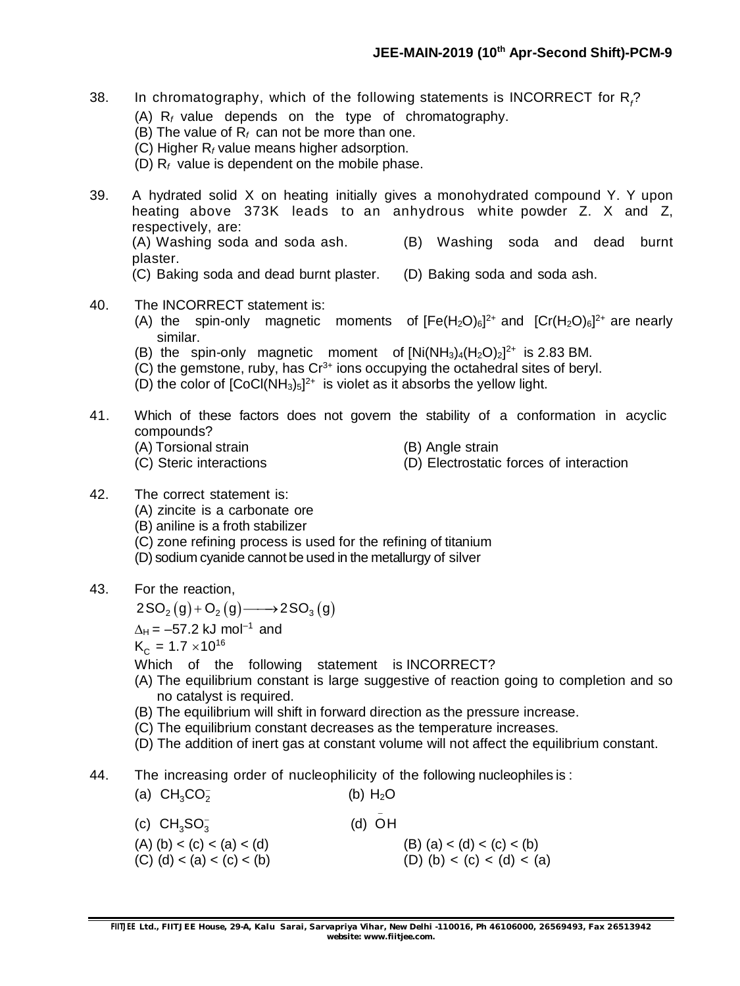- 38. In chromatography, which of the following statements is INCORRECT for R*<sup>f</sup>* ? (A) R*<sup>f</sup>* value depends on the type of chromatography.
	- (B) The value of R*<sup>f</sup>* can not be more than one.
	- (C) Higher R*<sup>f</sup>* value means higher adsorption.
	- (D) R*<sup>f</sup>* value is dependent on the mobile phase.
- 39. A hydrated solid X on heating initially gives a monohydrated compound Y. Y upon heating above 373K leads to an anhydrous white powder Z. X and Z, respectively, are: (A) Washing soda and soda ash. (B) Washing soda and dead burnt

plaster.

- (C) Baking soda and dead burnt plaster. (D) Baking soda and soda ash.
- 40. The INCORRECT statement is:
	- (A) the spin-only magnetic moments of  $[Fe(H<sub>2</sub>O)<sub>6</sub>]^{2+}$  and  $[Cr(H<sub>2</sub>O)<sub>6</sub>]<sup>2+</sup>$  are nearly similar.
	- (B) the spin-only magnetic moment of  $[Ni(NH<sub>3</sub>)<sub>4</sub>(H<sub>2</sub>O)<sub>2</sub>]<sup>2+</sup>$  is 2.83 BM.
	- $(C)$  the gemstone, ruby, has  $Cr^{3+}$  ions occupying the octahedral sites of beryl.
	- (D) the color of  $[CoCl(NH<sub>3</sub>)<sub>5</sub>]<sup>2+</sup>$  is violet as it absorbs the yellow light.
- 41. Which of these factors does not govern the stability of a conformation in acyclic compounds?
	- (A) Torsional strain (B) Angle strain
		-
- 
- (C) Steric interactions (D) Electrostatic forces of interaction
- 42. The correct statement is: (A) zincite is a carbonate ore
	- (B) aniline is a froth stabilizer
	- (C) zone refining process is used for the refining of titanium
	- (D) sodium cyanide cannot be used in the metallurgy of silver
- 43. For the reaction,

 $2SO_2(g)+O_2(g) \longrightarrow 2SO_3(g)$ 

 $\Delta_{\mathsf{H}}$  = –57.2 kJ mol<sup>–1</sup> and

 $\mathsf{K}_{_{\mathrm{C}}}$  = 1.7  $\times 10^{16}$ 

Which of the following statement is INCORRECT?

- (A) The equilibrium constant is large suggestive of reaction going to completion and so no catalyst is required.
- (B) The equilibrium will shift in forward direction as the pressure increase.
- (C) The equilibrium constant decreases as the temperature increases.
- (D) The addition of inert gas at constant volume will not affect the equilibrium constant.
- 44. The increasing order of nucleophilicity of the following nucleophiles is :

| (a) $CH_{3}CO_{2}^{-}$                                   | (b) $H_2O$                                               |
|----------------------------------------------------------|----------------------------------------------------------|
| (c) $CH_{3}SO_{3}^{-}$                                   | $(d)$ OH                                                 |
| $(A)$ (b) < (c) < (a) < (d)<br>(C) (d) < (a) < (c) < (b) | $(B)$ (a) < (d) < (c) < (b)<br>(D) (b) < (c) < (d) < (a) |
|                                                          |                                                          |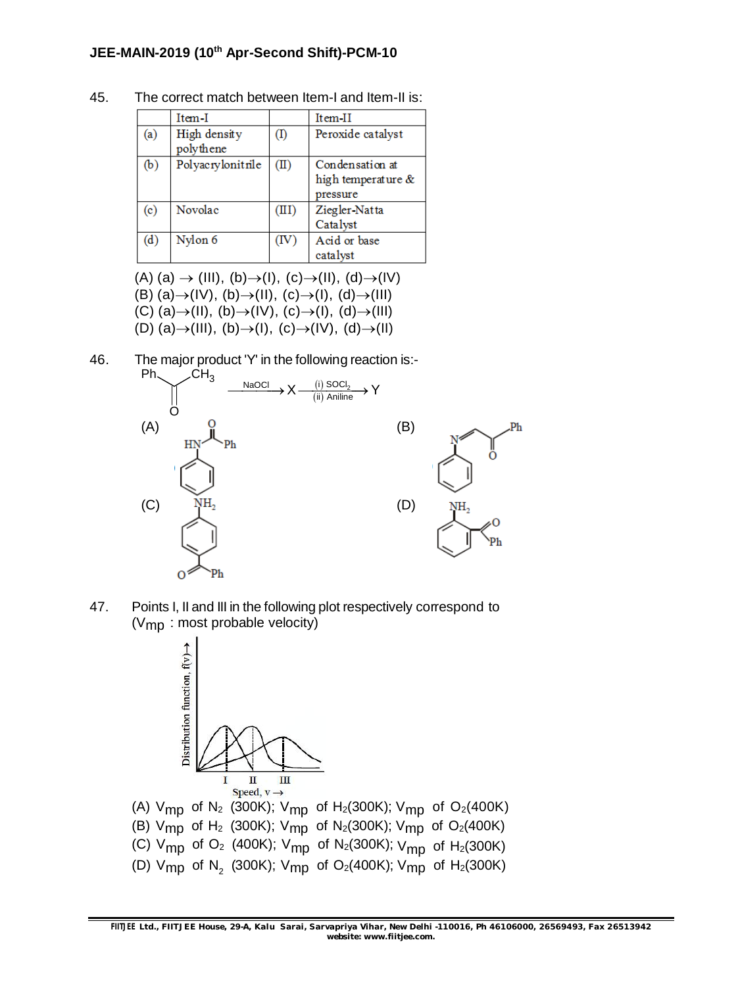|                           | Item-I                    |                | Item-II                                           |
|---------------------------|---------------------------|----------------|---------------------------------------------------|
| (a)                       | High density<br>polythene | (I)            | Peroxide catalyst                                 |
| (b)                       | Polyacrylonitrile         | $(\mathbb{I})$ | Condensation at<br>high temperature &<br>pressure |
| $\left( \text{c} \right)$ | Novolac                   | (III)          | Ziegler-Natta<br>Catalyst                         |
| (d)                       | Nylon 6                   | TV)            | Acid or base<br>catalyst                          |

45. The correct match between Item-I and Item-II is:

 $(A)$  (a)  $\rightarrow$  (III), (b) $\rightarrow$ (I), (c) $\rightarrow$ (II), (d) $\rightarrow$ (IV) (B) (a) $\rightarrow$ (IV), (b) $\rightarrow$ (II), (c) $\rightarrow$ (I), (d) $\rightarrow$ (III)  $(C)$  (a) $\rightarrow$ (II), (b) $\rightarrow$ (IV), (c) $\rightarrow$ (I), (d) $\rightarrow$ (III) (D) (a) $\rightarrow$ (III), (b) $\rightarrow$ (I), (c) $\rightarrow$ (IV), (d) $\rightarrow$ (II)

46. The major product 'Y' in the following reaction is:-



47. Points I, II and III in the following plot respectively correspond to  $(V<sub>mp</sub>)$ : most probable velocity)



(B) V<sub>mp</sub> of H<sub>2</sub> (300K); V<sub>mp</sub> of N<sub>2</sub>(300K); V<sub>mp</sub> of O<sub>2</sub>(400K) (C) V<sub>mp</sub> of O<sub>2</sub> (400K); V<sub>mp</sub> of N<sub>2</sub>(300K); V<sub>mp</sub> of H<sub>2</sub>(300K) (D)  $\mathsf{V}_{\mathsf{mp}}$  of  $\mathsf{N}_2$  (300K);  $\mathsf{V}_{\mathsf{mp}}$  of O $_2$ (400K);  $\mathsf{V}_{\mathsf{mp}}$  of H $_2$ (300K)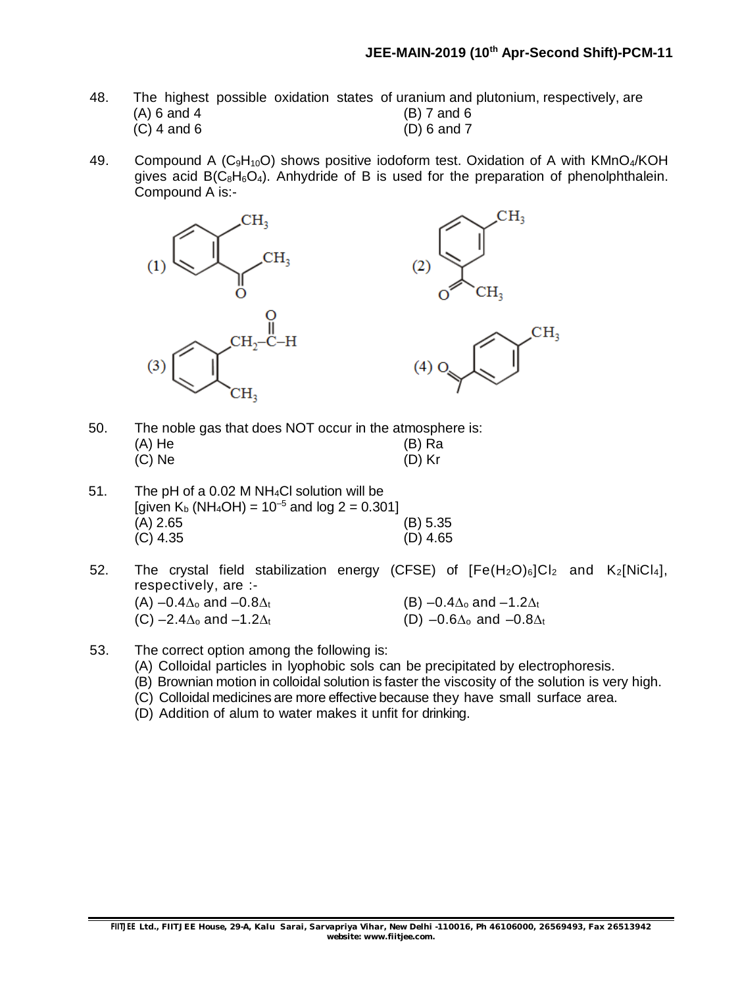- 48. The highest possible oxidation states of uranium and plutonium, respectively, are (A) 6 and 4 (B) 7 and 6  $(A)$  6 and 4 (C) 4 and 6 (D) 6 and 7
- 49. Compound A ( $C_9H_{10}O$ ) shows positive iodoform test. Oxidation of A with KMnO<sub>4</sub>/KOH gives acid  $B(C_8H_6O_4)$ . Anhydride of B is used for the preparation of phenolphthalein. Compound A is:-



- 50. The noble gas that does NOT occur in the atmosphere is: (A) He (B) Ra<br>(C) Ne (C) Ne (D) Kr  $(C)$  Ne
- 51. The pH of a 0.02 M NH4Cl solution will be [given  $K_b$  (NH<sub>4</sub>OH) =  $10^{-5}$  and log 2 = 0.301] (A) 2.65 (B) 5.35<br>(C) 4.35 (D) 4.65  $(C)$  4.35
- 52. The crystal field stabilization energy (CFSE) of  $[Fe(H<sub>2</sub>O)<sub>6</sub>]Cl<sub>2</sub>$  and  $K<sub>2</sub>[NiCl<sub>4</sub>],$ respectively, are :- (A)  $-0.4\Delta_0$  and  $-0.8\Delta_t$  (B)  $-0.4\Delta_0$  and  $-1.2\Delta_t$ (C) –2.4 $\Delta_0$  and –1.2 $\Delta_t$  (D) –0.6 $\Delta_0$  and –0.8 $\Delta_t$
- 53. The correct option among the following is:
	- (A) Colloidal particles in lyophobic sols can be precipitated by electrophoresis.
	- (B) Brownian motion in colloidal solution is faster the viscosity of the solution is very high.
	- (C) Colloidal medicines are more effective because they have small surface area.
	- (D) Addition of alum to water makes it unfit for drinking.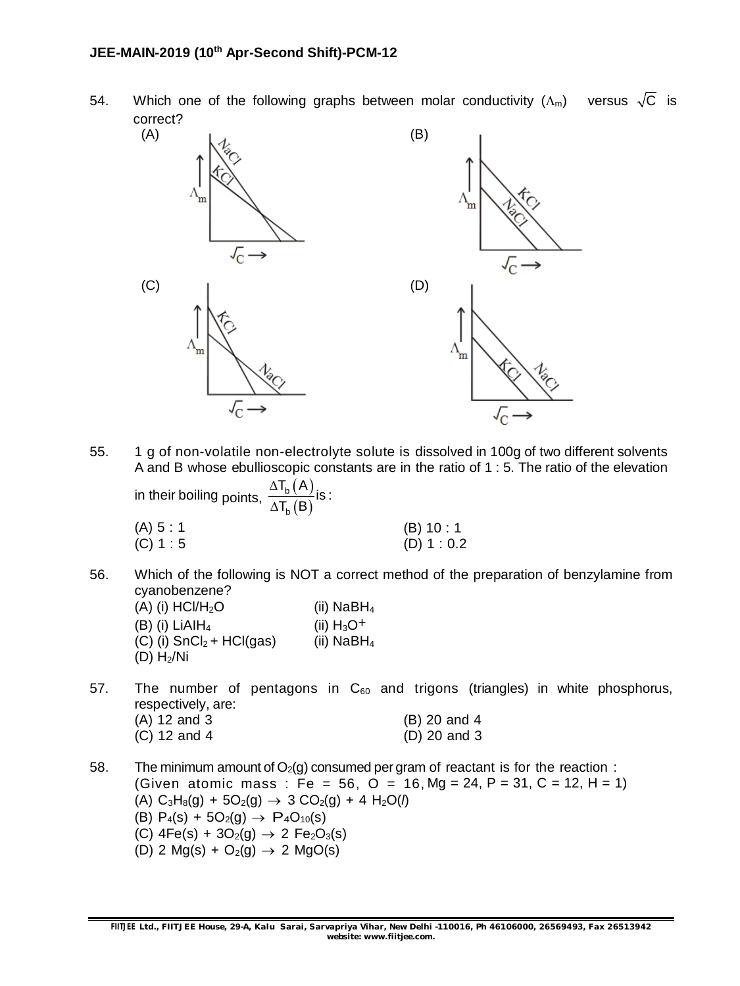54. Which one of the following graphs between molar conductivity  $(\Lambda_m)$  versus  $\sqrt{C}$  is correct?



55. 1 g of non-volatile non-electrolyte solute is dissolved in 100g of two different solvents A and B whose ebullioscopic constants are in the ratio of 1 : 5. The ratio of the elevation  $\mathsf{T}_{\mathsf{b}}(\mathsf{A})$  $\Delta$ 

in their boiling points,  $\frac{\Delta T_{\rm b}(A)}{\Delta T_{\rm s}(B)}$ (B) b b is :  $\mathsf{T}_{\mathsf{h}}(\mathsf{B})$  $\Delta$ 

| (A) 5 : 1 | (B) 10:1      |
|-----------|---------------|
| (C) 1 : 5 | $(D)$ 1 : 0.2 |

- 56. Which of the following is NOT a correct method of the preparation of benzylamine from cyanobenzene?  $(A)$  (i) HCl/H<sub>2</sub>O (ii) NaBH<sub>4</sub>
	- (B) (i)  $LiAlH<sub>4</sub>$ (ii)  $H_3O^+$  $(C)$  (i) SnCl<sub>2</sub> + HCl(gas) (ii) NaBH<sub>4</sub>  $(D)$  H<sub>2</sub>/Ni

### 57. The number of pentagons in  $C_{60}$  and trigons (triangles) in white phosphorus, respectively, are:

| $(A)$ 12 and 3 | (B) 20 and 4   |
|----------------|----------------|
| $(C)$ 12 and 4 | $(D)$ 20 and 3 |

58. The minimum amount of  $O_2(q)$  consumed per gram of reactant is for the reaction: (Given atomic mass : Fe = 56, O = 16, Mg = 24, P = 31, C = 12, H = 1)  $(A)$  C<sub>3</sub>H<sub>8</sub>(g) + 5O<sub>2</sub>(g)  $\rightarrow$  3 CO<sub>2</sub>(g) + 4 H<sub>2</sub>O(*l*) (B)  $P_4(s) + 5O_2(q) \rightarrow P_4O_{10}(s)$ (C)  $4Fe(s) + 3O_2(g) \rightarrow 2 Fe_2O_3(s)$ (D) 2 Mg(s) +  $O_2(q) \rightarrow 2$  MgO(s)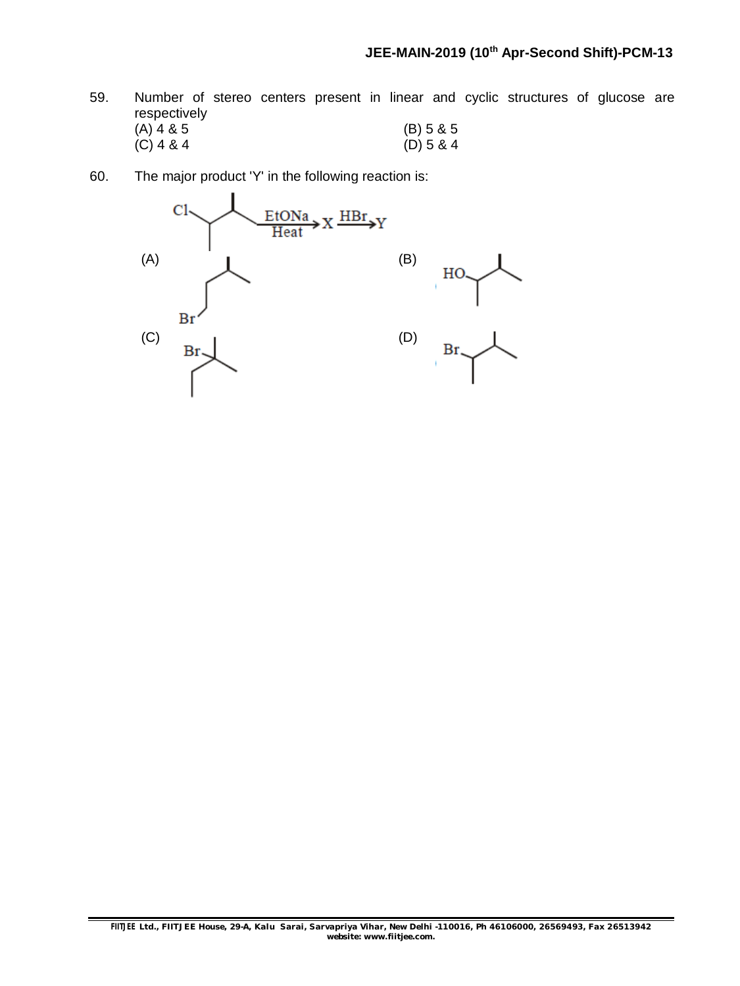- 59. Number of stereo centers present in linear and cyclic structures of glucose are respectively  $(A)$  4 & 5 (B) 5 & 5  $(C)$  4 & 4 (D) 5 & 4
- 60. The major product 'Y' in the following reaction is:

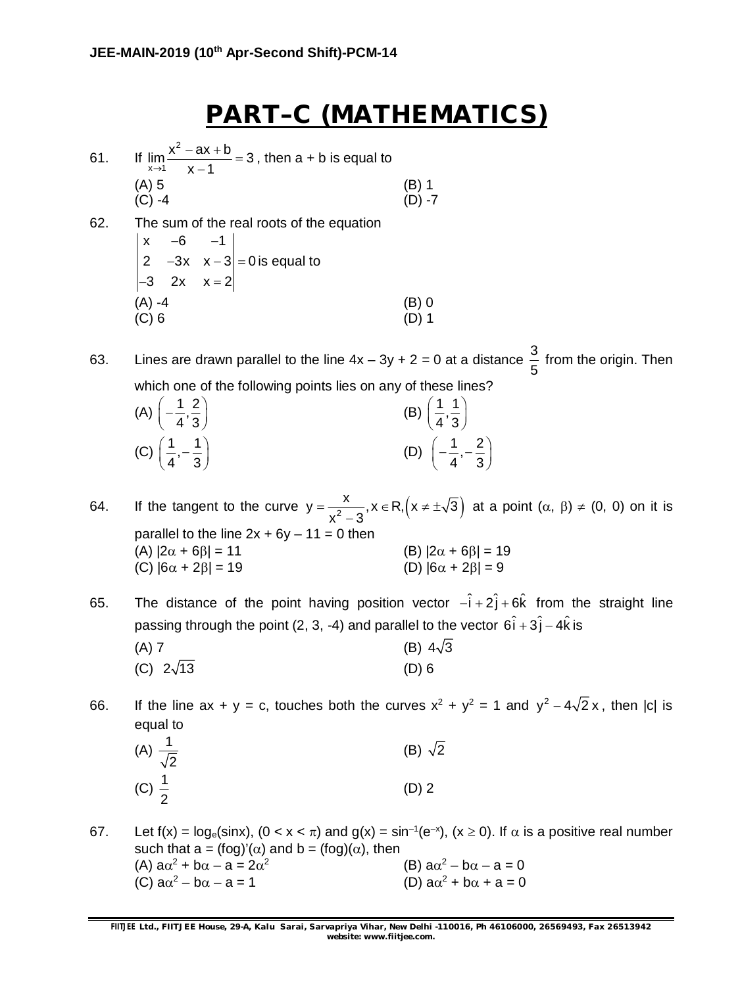# **PART–C (MATHEMATICS)**

- $61.$ 2  $\lim_{x\to 1} \frac{x^2 - ax + b}{x - 1} = 3$  $\rightarrow$ 1  $x-1$  $\frac{-ax+b}{1}$  $\overline{\phantom{a}}$ , then  $a + b$  is equal to  $(A) 5$  (B) 1 (C) -4 (D) -7
- 62. The sum of the real roots of the equation  $x -6 -1$ 2  $-3x$   $x-3$  = 0 is equal to  $-3$  2x  $x = 2$  $(A) -4$  (B) 0 (C) 6 (D) 1

63. Lines are drawn parallel to the line  $4x - 3y + 2 = 0$  at a distance  $\frac{3}{5}$ 5 from the origin. Then which one of the following points lies on any of these lines?

| (A) $\left(-\frac{1}{4},\frac{2}{3}\right)$  | (B) $\left(\frac{1}{4}, \frac{1}{3}\right)$   |
|----------------------------------------------|-----------------------------------------------|
| (C) $\left(\frac{1}{4}, -\frac{1}{3}\right)$ | (D) $\left(-\frac{1}{4}, -\frac{2}{3}\right)$ |

- 64. If the tangent to the curve  $y = \frac{x}{x^2 3}$ ,  $x \in R, (x \neq \pm \sqrt{3})$  $x^2 - 3$  $=\frac{R}{2}$ ,  $x \in R, (x \neq \pm \sqrt{2})$  $\overline{a}$ at a point  $(\alpha, \beta) \neq (0, 0)$  on it is parallel to the line  $2x + 6y - 11 = 0$  then (A)  $|2\alpha + 6\beta| = 11$  (B)  $|2\alpha + 6\beta| = 19$ (C)  $|6\alpha + 2\beta| = 19$  (D)  $|6\alpha + 2\beta| = 9$
- 65. The distance of the point having position vector  $-\hat{i} + 2\hat{j} + 6\hat{k}$  from the straight line passing through the point (2, 3, -4) and parallel to the vector  $6\hat{i} + 3\hat{j} - 4\hat{k}$  is (A) 7 (B)  $4\sqrt{3}$

(C) 
$$
2\sqrt{13}
$$
 (D) 6

66. If the line ax + y = c, touches both the curves  $x^2 + y^2 = 1$  and  $y^2 - 4\sqrt{2}x$ , then |c| is equal to

| (A) $\frac{1}{\sqrt{2}}$ | (B) $\sqrt{2}$ |
|--------------------------|----------------|
| (C) $\frac{1}{2}$        | $(D)$ 2        |

67. Let  $f(x) = \log_e(\sin x)$ ,  $(0 < x < \pi)$  and  $g(x) = \sin^{-1}(e^{-x})$ ,  $(x \ge 0)$ . If  $\alpha$  is a positive real number such that a = (fog)'( $\alpha$ ) and b = (fog)( $\alpha$ ), then (A)  $a\alpha^2 + b\alpha - a = 2\alpha^2$ (B)  $a\alpha^2 - b\alpha - a = 0$ (C)  $a\alpha^2 - b\alpha - a = 1$  (D) a $\alpha$ (D)  $a\alpha^2 + b\alpha + a = 0$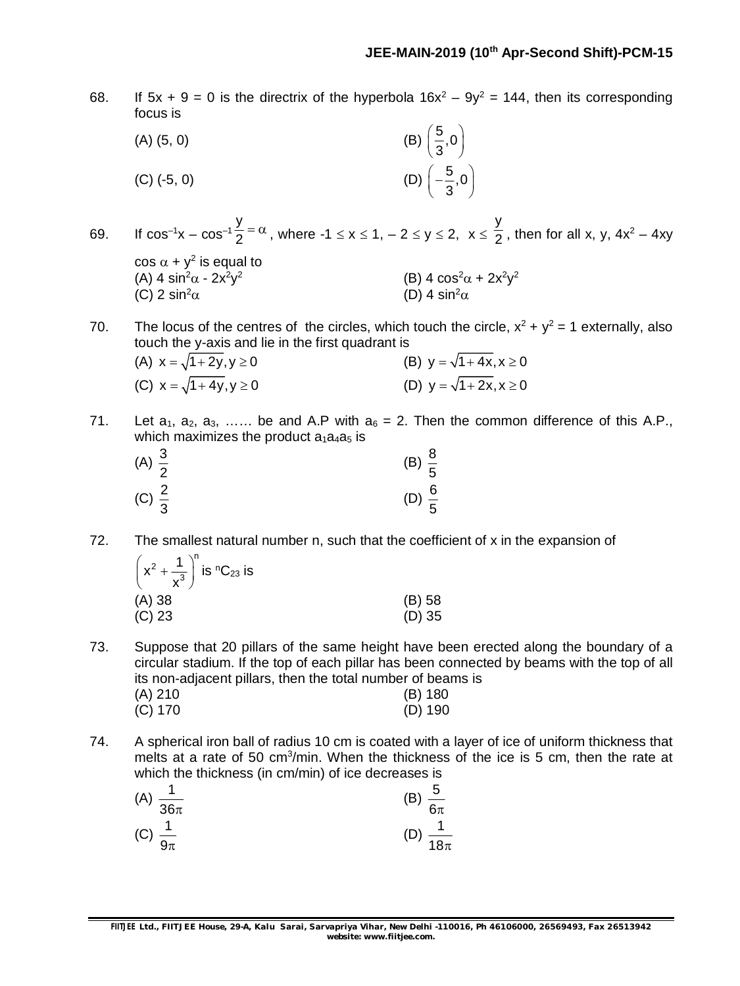68. If  $5x + 9 = 0$  is the directrix of the hyperbola  $16x^2 - 9y^2 = 144$ , then its corresponding focus is

(A) (5, 0)  
\n(B) 
$$
\left(\frac{5}{3}, 0\right)
$$
  
\n(C) (-5, 0)  
\n(D)  $\left(-\frac{5}{3}, 0\right)$ 

69. If  $cos^{-1}x - cos^{-1}$ y  $\frac{y}{2}$  =  $\alpha$  , where -1  $\le x \le 1$ ,  $-2 \le y \le 2$ ,  $x \le \frac{y}{2}$  $\frac{1}{2}$ , then for all x, y, 4x<sup>2</sup> – 4xy  $\cos \alpha + y^2$  is equal to (A) 4  $\sin^2\alpha$  -  $2x^2y^2$ (B)  $4 \cos^2 \alpha + 2x^2y^2$ (C) 2 sin<sup>2</sup> $\alpha$  (D) 4 sin<sup>2</sup> $\alpha$ 

70. The locus of the centres of the circles, which touch the circle,  $x^2 + y^2 = 1$  externally, also touch the y-axis and lie in the first quadrant is

- (A)  $x = \sqrt{1 + 2y}$ ,  $y \ge 0$  (B)  $y = \sqrt{1 + 4x}$ ,  $x \ge 0$ (C)  $x = \sqrt{1 + 4y}$ ,  $y \ge 0$  <br> (D)  $y = \sqrt{1 + 2x}$ ,  $x \ge 0$
- 71. Let  $a_1$ ,  $a_2$ ,  $a_3$ , ..... be and A.P with  $a_6 = 2$ . Then the common difference of this A.P., which maximizes the product  $a_1a_4a_5$  is

| (A) $\frac{3}{2}$ | (B) $\frac{8}{5}$ |
|-------------------|-------------------|
| (C) $\frac{2}{3}$ | (D) $\frac{6}{5}$ |

72. The smallest natural number n, such that the coefficient of x in the expansion of

| $\left(x^2 + \frac{1}{x^3}\right)^n$ is ${}^nC_{23}$ is |          |
|---------------------------------------------------------|----------|
| (A) 38                                                  | (B) 58   |
| (C) 23                                                  | $(D)$ 35 |

73. Suppose that 20 pillars of the same height have been erected along the boundary of a circular stadium. If the top of each pillar has been connected by beams with the top of all its non-adjacent pillars, then the total number of beams is (A) 210 (B) 180

| (A) 210   | (B) 180   |
|-----------|-----------|
| $(C)$ 170 | $(D)$ 190 |

74. A spherical iron ball of radius 10 cm is coated with a layer of ice of uniform thickness that melts at a rate of 50 cm<sup>3</sup>/min. When the thickness of the ice is 5 cm, then the rate at which the thickness (in cm/min) of ice decreases is

| (A)<br>$\overline{36\pi}$ | $\frac{5}{6}$<br>(B)<br>$\overline{6\pi}$ |
|---------------------------|-------------------------------------------|
| (C)                       | (D)                                       |
|                           | and the sea                               |
| $9\pi$                    | $18\pi$                                   |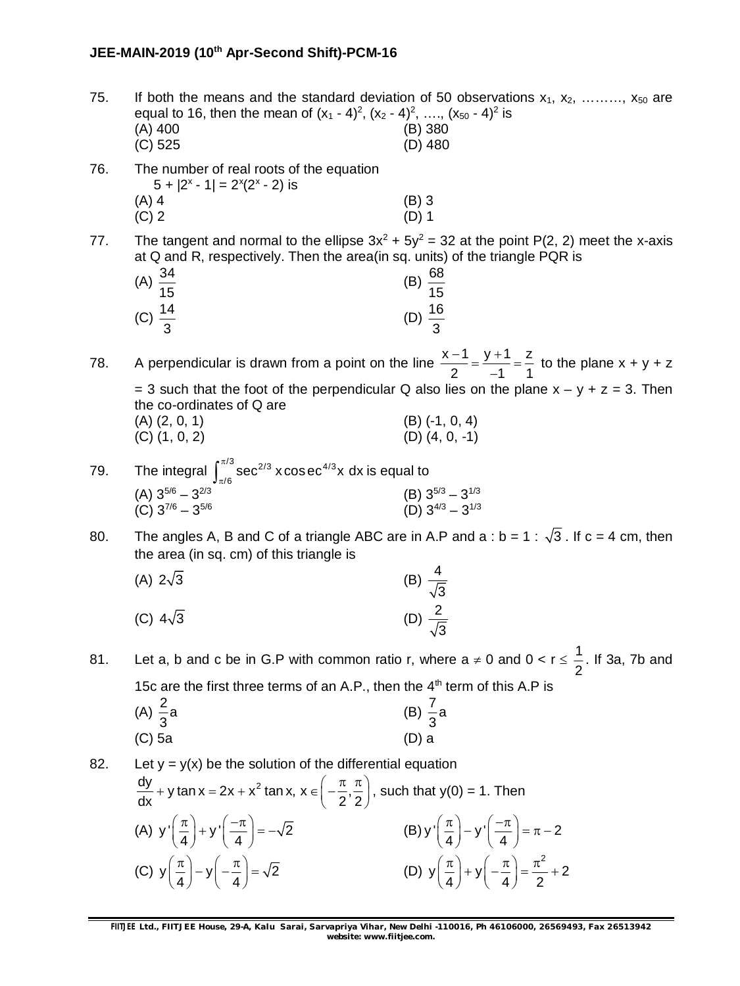| 75. | equal to 16, then the mean of $(x_1 - 4)^2$ , $(x_2 - 4)^2$ , , $(x_{50} - 4)^2$ is<br>(A) 400<br>$(C)$ 525                                                                    | If both the means and the standard deviation of 50 observations $x_1, x_2, \ldots, x_{50}$ are<br>$(B)$ 380<br>(D) 480 |  |  |
|-----|--------------------------------------------------------------------------------------------------------------------------------------------------------------------------------|------------------------------------------------------------------------------------------------------------------------|--|--|
| 76. | The number of real roots of the equation<br>$5 +  2^{x} - 1  = 2^{x}(2^{x} - 2)$ is                                                                                            |                                                                                                                        |  |  |
|     | $(A)$ 4<br>$(C)$ 2                                                                                                                                                             | $(B)$ 3<br>$(D)$ 1                                                                                                     |  |  |
| 77. | The tangent and normal to the ellipse $3x^2 + 5y^2 = 32$ at the point P(2, 2) meet the x-axis<br>at Q and R, respectively. Then the area (in sq. units) of the triangle PQR is |                                                                                                                        |  |  |
|     | (A) $\frac{34}{15}$                                                                                                                                                            | (B) $\frac{68}{15}$                                                                                                    |  |  |
|     | (C) $\frac{14}{3}$                                                                                                                                                             | (D) $\frac{16}{3}$                                                                                                     |  |  |
| 78. | A perpendicular is drawn from a point on the line $\frac{x-1}{2} = \frac{y+1}{-1} = \frac{z}{1}$ to the plane x + y + z                                                        |                                                                                                                        |  |  |
|     | the co-ordinates of Q are                                                                                                                                                      | = 3 such that the foot of the perpendicular Q also lies on the plane $x - y + z = 3$ . Then                            |  |  |
|     | $(A)$ $(2, 0, 1)$<br>$(C)$ $(1, 0, 2)$                                                                                                                                         | $(B)$ (-1, 0, 4)<br>(D) (4, 0, -1)                                                                                     |  |  |
| 79. | The integral $\int_{\pi/6}^{\pi/3}$ sec <sup>2/3</sup> x cos ec <sup>4/3</sup> x dx is equal to                                                                                |                                                                                                                        |  |  |
|     | (A) $3^{5/6} - 3^{2/3}$<br>$(C)$ 3 <sup>7/6</sup> - 3 <sup>5/6</sup>                                                                                                           | (B) $3^{5/3} - 3^{1/3}$<br>(D) $3^{4/3} - 3^{1/3}$                                                                     |  |  |
| 80. | The angles A, B and C of a triangle ABC are in A.P and a : $b = 1 : \sqrt{3}$ . If $c = 4$ cm, then<br>the area (in sq. cm) of this triangle is                                |                                                                                                                        |  |  |
|     | (A) $2\sqrt{3}$                                                                                                                                                                | (B) $\frac{4}{\sqrt{3}}$<br>(D) $\frac{2}{\sqrt{3}}$                                                                   |  |  |
|     | (C) $4\sqrt{3}$                                                                                                                                                                |                                                                                                                        |  |  |
| 81. |                                                                                                                                                                                | Let a, b and c be in G.P with common ratio r, where $a \neq 0$ and $0 < r \leq \frac{1}{2}$ . If 3a, 7b and            |  |  |
|     | 15c are the first three terms of an A.P., then the $4th$ term of this A.P is                                                                                                   |                                                                                                                        |  |  |
|     | (A) $\frac{2}{3}$ a                                                                                                                                                            | (B) $\frac{7}{3}a$                                                                                                     |  |  |
|     | $(C)$ 5a                                                                                                                                                                       | $(D)$ a                                                                                                                |  |  |
| 82. | Let $y = y(x)$ be the solution of the differential equation                                                                                                                    |                                                                                                                        |  |  |
|     | $\frac{dy}{dx}$ + y tan x = 2x + x <sup>2</sup> tan x, x $\in \left(-\frac{\pi}{2}, \frac{\pi}{2}\right)$ , such that y(0) = 1. Then                                           |                                                                                                                        |  |  |
|     | (A) $y'(\frac{\pi}{4}) + y'(\frac{-\pi}{4}) = -\sqrt{2}$                                                                                                                       | (B) $y'(\frac{\pi}{4}) - y'(\frac{-\pi}{4}) = \pi - 2$                                                                 |  |  |
|     |                                                                                                                                                                                |                                                                                                                        |  |  |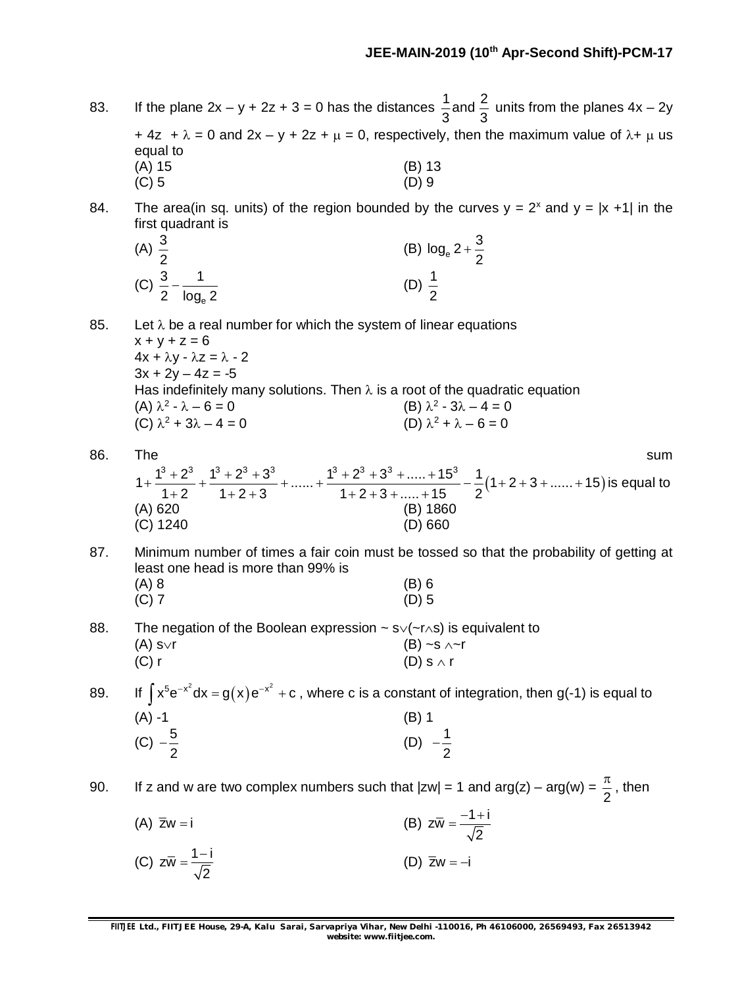83. If the plane  $2x - y + 2z + 3 = 0$  has the distances  $\frac{1}{6}$  and  $\frac{2}{6}$ 3 3 units from the planes 4x – 2y + 4z +  $\lambda$  = 0 and 2x - y + 2z +  $\mu$  = 0, respectively, then the maximum value of  $\lambda$ +  $\mu$  us equal to (A) 15 (B) 13 (B) 13

84. The area(in sq. units) of the region bounded by the curves  $y = 2^x$  and  $y = |x +1|$  in the first quadrant is

| (A) $\frac{3}{2}$ |                 | (B) $log_e 2 + \frac{3}{2}$ |  |
|-------------------|-----------------|-----------------------------|--|
| (C) $\frac{3}{2}$ | $'$ 2 $log_e 2$ |                             |  |

 $(C) 5$  (D) 9

85. Let  $\lambda$  be a real number for which the system of linear equations  $x + y + z = 6$  $4x + \lambda y - \lambda z = \lambda - 2$  $3x + 2y - 4z = -5$ Has indefinitely many solutions. Then  $\lambda$  is a root of the quadratic equation (A)  $\lambda^2 - \lambda - 6 = 0$  (B)  $\lambda$  $2 - 3\lambda - 4 = 0$ (C)  $\lambda^2 + 3\lambda - 4 = 0$  (D)  $\lambda$ (D)  $\lambda^2 + \lambda - 6 = 0$ 

- 86. The summary summary summary summary summary summary summary summary summary summary summary summary summary  $1+\frac{1^3+2^3}{1\cdot 2}+\frac{1^3+2^3+3^3}{1\cdot 2\cdot 2}+......+\frac{1^3+2^3+3^3+....+15^3}{1\cdot 2\cdot 2\cdot 2\cdot 1\cdot 15}-\frac{1}{2}(1+2+3+......+15)$  $1+2$   $1+2+3$   $1+2+3+....+15$  2  $+\frac{1^3+2^3}{1^2-1}+\frac{1^3+2^3+3^3}{1^2-2^2}+......+\frac{1^3+2^3+3^3+.....+15^3}{1^2-2^2-1} -\frac{1}{2}(1+2+3+.....+1)$  $+2$   $1+2+3$   $1+2+3+....+1$ is equal to  $(A)$  620 (C) 1240 (D) 660
- 87. Minimum number of times a fair coin must be tossed so that the probability of getting at least one head is more than 99% is (A) 8 (B) 6 (C) 7 (D) 5
- 88. The negation of the Boolean expression  $\sim s \sqrt{r}$  is equivalent to (A) s $\vee$ r (B) ~s  $\wedge$  ~r (C) r (D) s  $\wedge$  r

89. If  $\int x^5 e^{-x^2} dx = g(x) e^{-x^2} + c$ , where c is a constant of integration, then g(-1) is equal to (A) -1 (B) 1 (C)  $-\frac{5}{6}$ 2  $\frac{-5}{2}$  (D)  $\frac{1}{2}$ 2  $\overline{\phantom{a}}$ 

90. If z and w are two complex numbers such that  $|zw| = 1$  and  $arg(z) - arg(w) =$ 2  $\frac{\pi}{6}$ , then (A)  $\bar{z}w = i$  (B)  $z\bar{w} = \frac{-1 + i}{\sqrt{2}}$  $=\frac{-1+i}{\sqrt{2}}$ 

(C) 
$$
z\overline{w} = \frac{1-i}{\sqrt{2}}
$$
 (D)  $\overline{z}w = -i$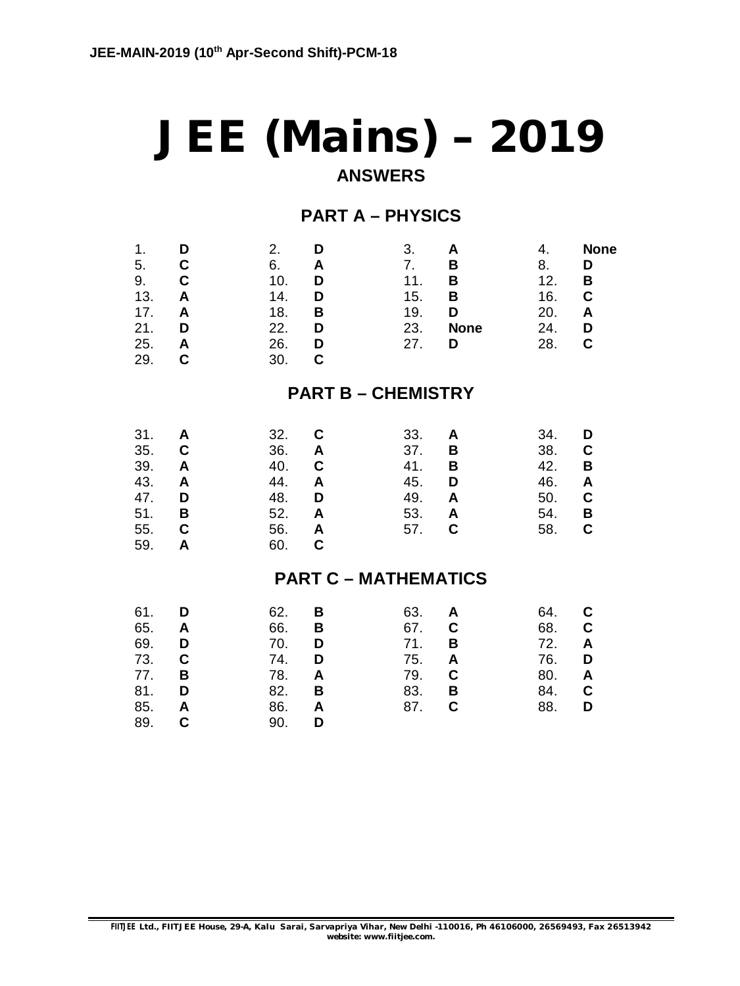# **JEE (Mains) – 2019 ANSWERS**

# **PART A – PHYSICS**

| 1.<br>5.<br>9.<br>13.<br>17.<br>21.<br>25.<br>29.    | D<br>C<br>C<br>A<br>A<br>D<br>Α<br>C | 2.<br>D<br>6.<br>Α<br>10.<br>D<br>14.<br>D<br>18.<br>B<br>22.<br>D<br>26.<br>D<br>C<br>30.             | 3.<br>A<br>7.<br>B<br>11.<br>B<br>15.<br>B<br>19.<br>D<br>23.<br><b>None</b><br>27.<br>D | 4.<br>8.<br>12.<br>16.<br>20.<br>24.<br>28.   | <b>None</b><br>D<br>В<br>C<br>Α<br>D<br>C |
|------------------------------------------------------|--------------------------------------|--------------------------------------------------------------------------------------------------------|------------------------------------------------------------------------------------------|-----------------------------------------------|-------------------------------------------|
|                                                      |                                      |                                                                                                        | <b>PART B - CHEMISTRY</b>                                                                |                                               |                                           |
| 31.<br>35.<br>39.<br>43.<br>47.<br>51.<br>55.<br>59. | A<br>C<br>A<br>A<br>D<br>В<br>C<br>A | 32.<br>C<br>36.<br>A<br>$\mathbf C$<br>40.<br>44.<br>A<br>48.<br>D<br>52.<br>A<br>56.<br>A<br>C<br>60. | 33.<br>A<br>37.<br>В<br>41.<br>B<br>45.<br>D<br>49.<br>A<br>53.<br>A<br>57.<br>C         | 34.<br>38.<br>42.<br>46.<br>50.<br>54.<br>58. | D<br>C<br>В<br>A<br>C<br>В<br>C           |
|                                                      |                                      |                                                                                                        | <b>PART C - MATHEMATICS</b>                                                              |                                               |                                           |
| 61.<br>65.<br>69.<br>73.<br>77.<br>81.<br>85.<br>89. | D<br>A<br>D<br>С<br>B<br>D<br>A<br>C | 62.<br>B<br>66.<br>В<br>70.<br>D<br>74.<br>D<br>78.<br>A<br>82.<br>В<br>86.<br>A<br>90.<br>D           | 63.<br>A<br>67.<br>C<br>71.<br>B<br>75.<br>A<br>79.<br>C<br>В<br>83.<br>87.<br>C         | 64.<br>68.<br>72.<br>76.<br>80.<br>84.<br>88. | С<br>C<br>A<br>D<br>A<br>C<br>D           |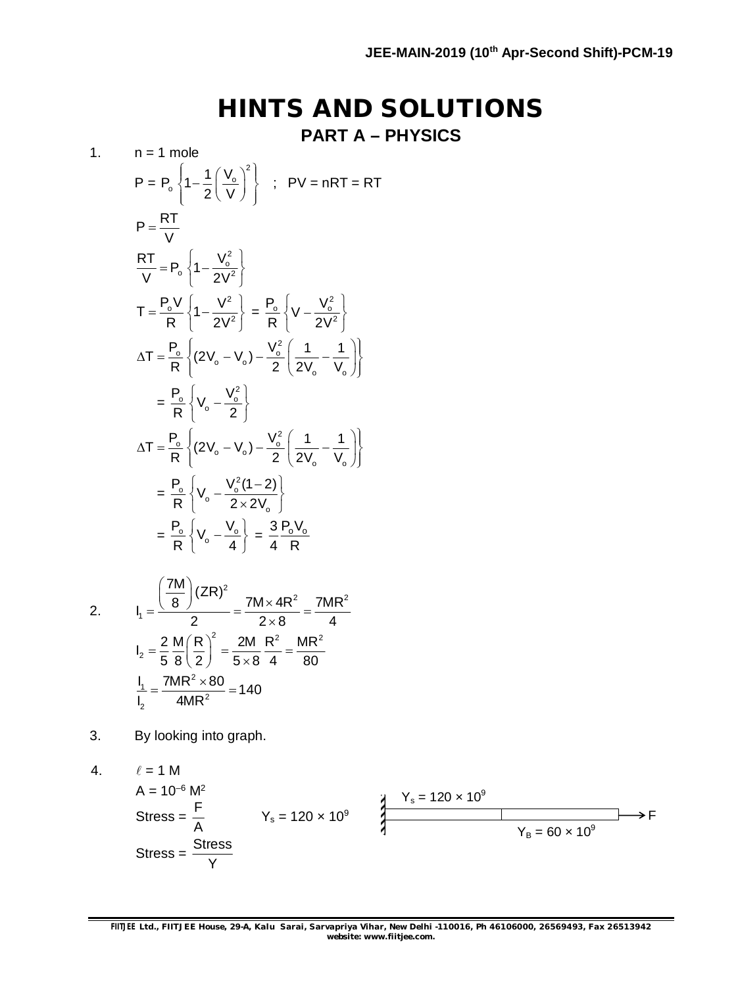# **HINTS AND SOLUTIONS**

**PART A – PHYSICS**

1. 
$$
n = 1 \text{ mole}
$$
  
\n $P = P_o \left\{ 1 - \frac{1}{2} \left( \frac{V_o}{V} \right)^2 \right\}$ ; PV = nRT = RT  
\n $P = \frac{RT}{V}$   
\n $\frac{RT}{V} = P_o \left\{ 1 - \frac{V_o^2}{2V^2} \right\}$   
\n $T = \frac{P_o V}{R} \left\{ 1 - \frac{V^2}{2V^2} \right\} = \frac{P_o}{R} \left\{ V - \frac{V_o^2}{2V^2} \right\}$   
\n $\Delta T = \frac{P_o}{R} \left\{ (2V_o - V_o) - \frac{V_o^2}{2} \left( \frac{1}{2V_o} - \frac{1}{V_o} \right) \right\}$   
\n $= \frac{P_o}{R} \left\{ V_o - \frac{V_o^2}{2} \right\}$   
\n $\Delta T = \frac{P_o}{R} \left\{ (2V_o - V_o) - \frac{V_o^2}{2} \left( \frac{1}{2V_o} - \frac{1}{V_o} \right) \right\}$   
\n $= \frac{P_o}{R} \left\{ V_o - \frac{V_o^2 (1 - 2)}{2 \times 2V_o} \right\}$   
\n $= \frac{P_o}{R} \left\{ V_o - \frac{V_o}{4} \right\} = \frac{3 P_o V_o}{4 R}$   
\n2.  $I_1 = \frac{\left(\frac{7M}{8}\right)(2R)^2}{2} = \frac{7M \times 4R^2}{2 \times 8} = \frac{7MR^2}{4}$   
\n $I_2 = \frac{2}{5} \frac{M}{8} \left( \frac{R}{2} \right)^2 = \frac{2M}{5 \times 8} \frac{R^2}{4} = \frac{MR^2}{80}$   
\n $\frac{I_1}{I_2} = \frac{7MR^2 \times 80}{4MR^2} = 140$ 

3. By looking into graph.

4. 
$$
\ell = 1 M
$$
  
\n $A = 10^{-6} M^2$   
\nStress =  $\frac{F}{A}$   
\n $Y_s = 120 \times 10^9$   
\n $Y_s = 120 \times 10^9$   
\n $Y_B = 60 \times 10^9$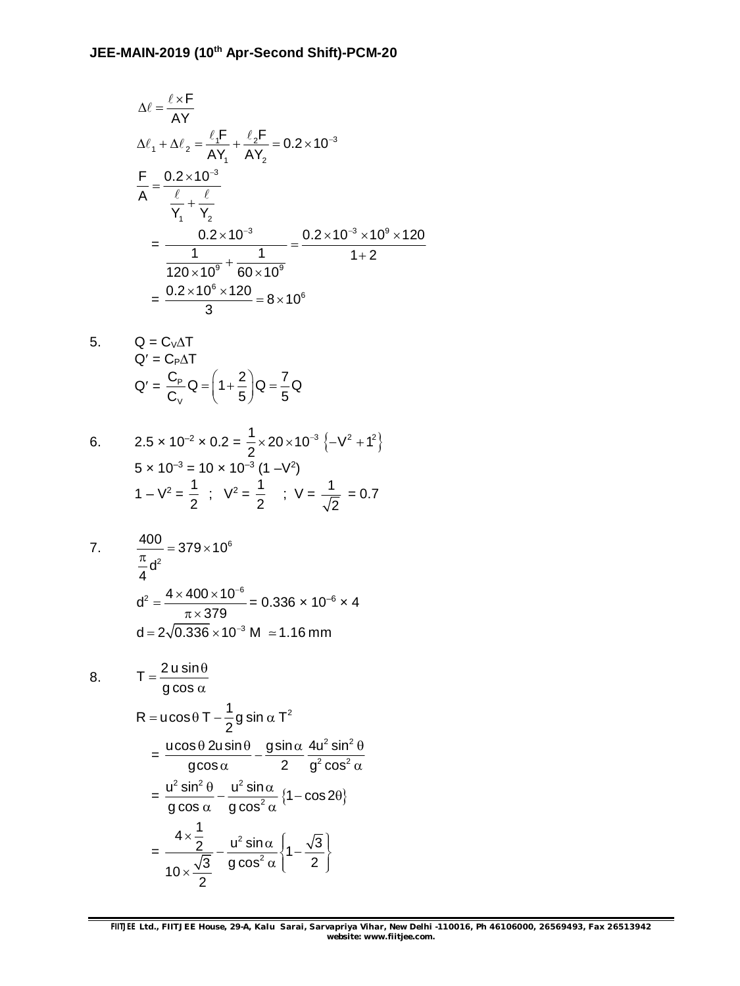$$
\Delta \ell = \frac{\ell \times F}{AY}
$$
\n
$$
\Delta \ell_1 + \Delta \ell_2 = \frac{\ell_1 F}{AY_1} + \frac{\ell_2 F}{AY_2} = 0.2 \times 10^{-3}
$$
\n
$$
\frac{F}{A} = \frac{0.2 \times 10^{-3}}{\frac{\ell}{Y_1} + \frac{\ell}{Y_2}}
$$
\n
$$
= \frac{0.2 \times 10^{-3}}{120 \times 10^9} + \frac{1}{60 \times 10^9} = \frac{0.2 \times 10^{-3} \times 10^9 \times 120}{1 + 2}
$$
\n
$$
= \frac{0.2 \times 10^6 \times 120}{3} = 8 \times 10^6
$$

5. 
$$
Q = C_V \Delta T
$$

$$
Q' = C_P \Delta T
$$

$$
Q' = \frac{C_P}{C_V} Q = \left(1 + \frac{2}{5}\right) Q = \frac{7}{5} Q
$$

6. 
$$
2.5 \times 10^{-2} \times 0.2 = \frac{1}{2} \times 20 \times 10^{-3} \{-V^2 + 1^2\}
$$

$$
5 \times 10^{-3} = 10 \times 10^{-3} (1 - V^2)
$$

$$
1 - V^2 = \frac{1}{2} \ ; \ V^2 = \frac{1}{2} \ ; \ V = \frac{1}{\sqrt{2}} = 0.7
$$

7. 
$$
\frac{400}{\frac{\pi}{4}d^2} = 379 \times 10^6
$$

$$
d^2 = \frac{4 \times 400 \times 10^{-6}}{\pi \times 379} = 0.336 \times 10^{-6} \times 4
$$

$$
d = 2\sqrt{0.336} \times 10^{-3} \text{ M } \approx 1.16 \text{ mm}
$$

8. 
$$
T = \frac{2 u \sin \theta}{g \cos \alpha}
$$
  
\n
$$
R = u \cos \theta \, T - \frac{1}{2} g \sin \alpha \, T^2
$$
  
\n
$$
= \frac{u \cos \theta \, 2u \sin \theta}{g \cos \alpha} - \frac{g \sin \alpha}{2} \frac{4u^2 \sin^2 \theta}{g^2 \cos^2 \alpha}
$$
  
\n
$$
= \frac{u^2 \sin^2 \theta}{g \cos \alpha} - \frac{u^2 \sin \alpha}{g \cos^2 \alpha} \{1 - \cos 2\theta\}
$$
  
\n
$$
= \frac{4 \times \frac{1}{2}}{10 \times \frac{\sqrt{3}}{2}} - \frac{u^2 \sin \alpha}{g \cos^2 \alpha} \{1 - \frac{\sqrt{3}}{2}\}
$$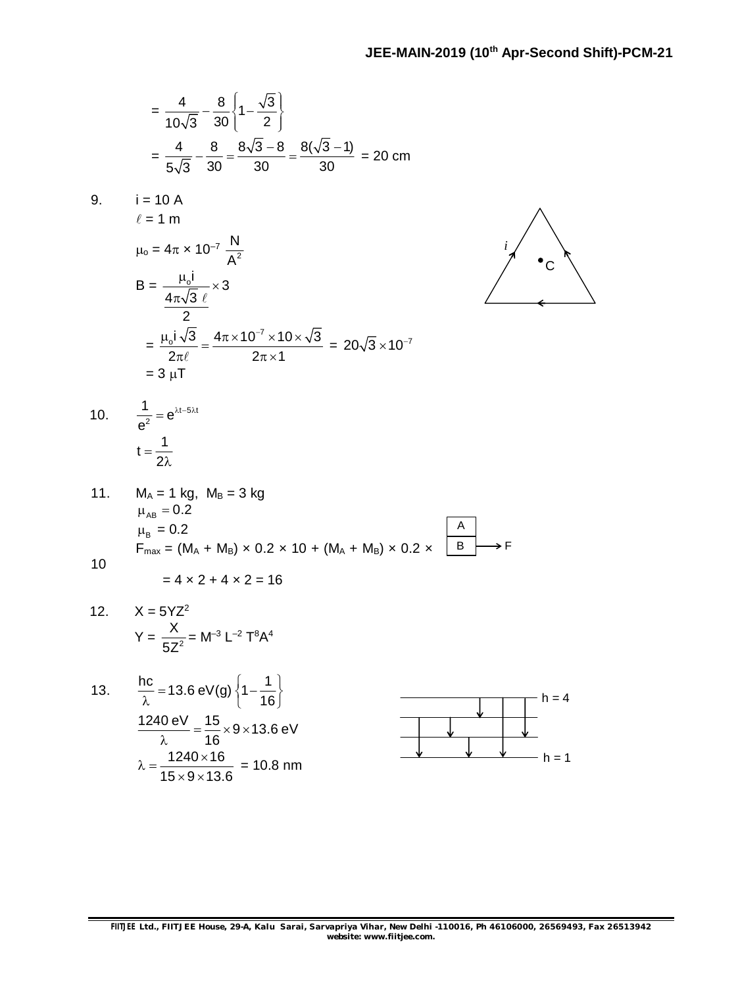$$
= \frac{4}{10\sqrt{3}} - \frac{8}{30} \left\{ 1 - \frac{\sqrt{3}}{2} \right\}
$$

$$
= \frac{4}{5\sqrt{3}} - \frac{8}{30} = \frac{8\sqrt{3} - 8}{30} = \frac{8(\sqrt{3} - 1)}{30} = 20 \text{ cm}
$$

9.   
\n
$$
i = 10 \text{ A}
$$
\n
$$
\ell = 1 \text{ m}
$$
\n
$$
\mu_0 = 4\pi \times 10^{-7} \frac{\text{N}}{\text{A}^2}
$$
\n
$$
B = \frac{\mu_0 i}{4\pi\sqrt{3} \ell} \times 3
$$
\n
$$
= \frac{\mu_0 i \sqrt{3}}{2\pi\ell} = \frac{4\pi \times 10^{-7} \times 10 \times \sqrt{3}}{2\pi \times 1} = 20\sqrt{3} \times 10^{-7}
$$
\n
$$
= 3 \mu\text{T}
$$



10. 
$$
\frac{1}{e^2} = e^{\lambda t - 5\lambda t}
$$

$$
t = \frac{1}{2\lambda}
$$

11. 
$$
M_A = 1 \text{ kg}
$$
,  $M_B = 3 \text{ kg}$   
\n $\mu_{AB} = 0.2$   
\n $\mu_B = 0.2$   
\n $F_{\text{max}} = (M_A + M_B) \times 0.2 \times 10 + (M_A + M_B) \times 0.2 \times \frac{A}{B} \longrightarrow F$ 

$$
= 4 \times 2 + 4 \times 2 = 16
$$

12. 
$$
X = 5YZ^2
$$
  
\n $Y = \frac{X}{5Z^2} = M^{-3} L^{-2} T^8 A^4$ 

13. 
$$
\frac{hc}{\lambda} = 13.6 \text{ eV(g)} \left\{ 1 - \frac{1}{16} \right\}
$$

$$
\frac{1240 \text{ eV}}{\lambda} = \frac{15}{16} \times 9 \times 13.6 \text{ eV}
$$

$$
\lambda = \frac{1240 \times 16}{15 \times 9 \times 13.6} = 10.8 \text{ nm}
$$

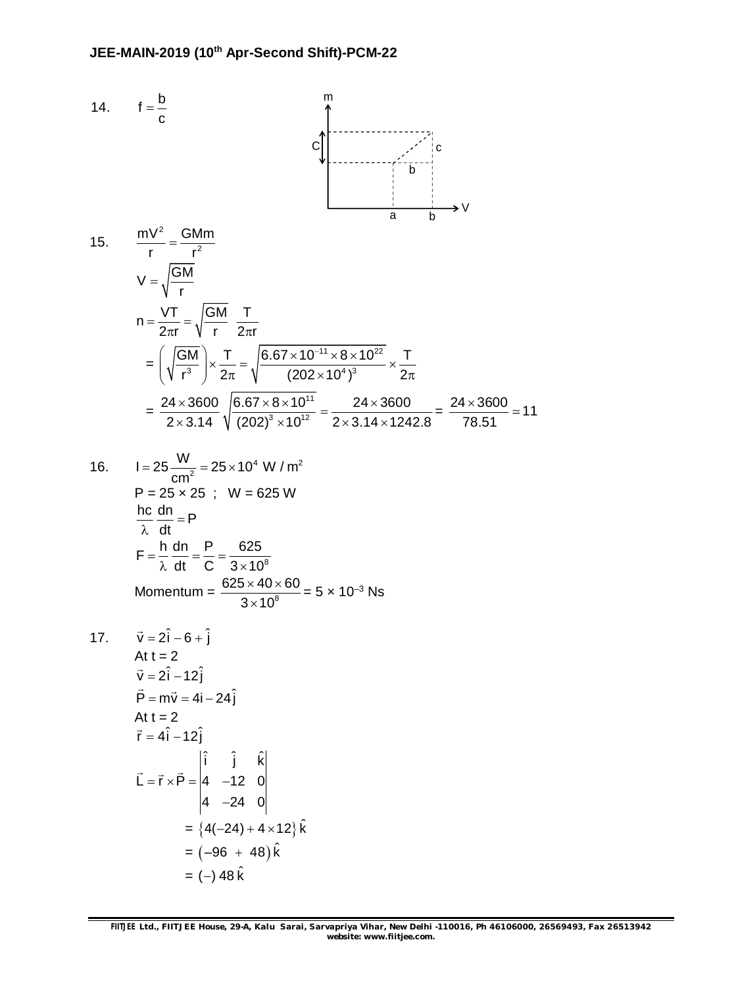14. 
$$
f = \frac{b}{c}
$$
  
\n $f = \frac{b}{c}$   
\n $\frac{mv^2}{r} = \frac{GMm}{r^2}$   
\n $V = \sqrt{\frac{GM}{r}}$   
\n $n = \frac{VT}{2\pi r} = \sqrt{\frac{GM}{r}} = \frac{T}{2\pi r}$   
\n $= \left(\sqrt{\frac{GM}{r^3}}\right) \times \frac{T}{2\pi} = \sqrt{\frac{6.67 \times 10^{-11} \times 8 \times 10^{22}}{(202 \times 10^4)^3}} \times \frac{T}{2\pi}$   
\n $= \frac{24 \times 3600}{2 \times 3.14} \sqrt{\frac{6.67 \times 8 \times 10^{11}}{(202)^3 \times 10^{12}}} = \frac{24 \times 3600}{2 \times 3.14 \times 1242.8} = \frac{24 \times 3600}{78.51} \approx 11$   
\n16.  $I = 25 \frac{W}{cm^2} = 25 \times 10^4 \text{ W/m}^2$   
\n $P = 25 \times 25 \text{ ; } W = 625 \text{ W}$   
\n $\frac{bc}{c}$  in  $Q = 5 \times 10^8$   
\n $F = \frac{h}{\lambda} \frac{dn}{dt} = P$   
\n $F = \frac{h}{\lambda} \frac{dn}{dt} = \frac{P}{C} = \frac{625}{3 \times 10^8}$   
\nMomentum =  $\frac{625 \times 40 \times 60}{3 \times 10^8} = 5 \times 10^{-3} \text{ Ns}$   
\n17.  $\vec{v} = 2\hat{i} - 6 + \hat{j}$   
\nAt  $t = 2$   
\n $\vec{v} = 2\hat{i} - 12\hat{j}$   
\n $\vec{P} = m\vec{v} = 4\hat{i} - 24\hat{j}$   
\nAt  $t = 2$   
\n $\vec{r} = 4\hat{i} - 12\hat{j}$   
\n $\vec{L} = \vec{r} \times \vec{P} = \begin{vmatrix} \hat{i} & \hat{j} & \hat{k} \\ 4 & -24 &$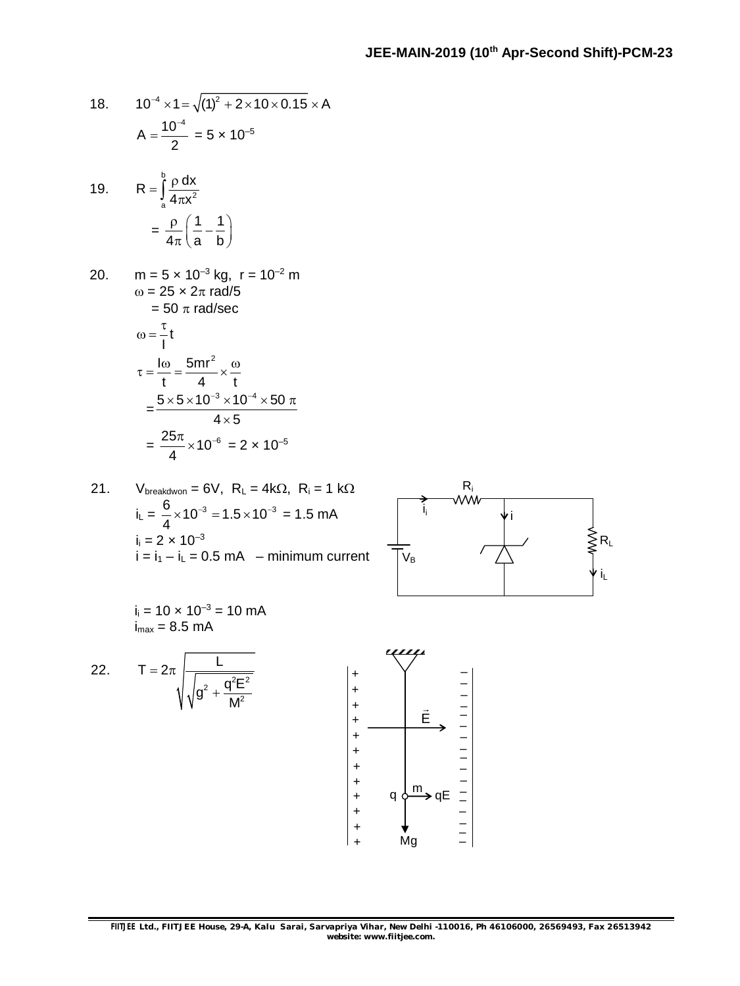18. 
$$
10^{-4} \times 1 = \sqrt{(1)^2 + 2 \times 10 \times 0.15 \times A}
$$
  

$$
A = \frac{10^{-4}}{2} = 5 \times 10^{-5}
$$

19. 
$$
R = \int_{a}^{b} \frac{\rho dx}{4\pi x^{2}}
$$

$$
= \frac{\rho}{4\pi} \left(\frac{1}{a} - \frac{1}{b}\right)
$$

20. 
$$
m = 5 \times 10^{-3} \text{ kg}, r = 10^{-2} \text{ m}
$$
  
\n $\omega = 25 \times 2\pi \text{ rad/5}$   
\n $= 50 \pi \text{ rad/sec}$   
\n $\omega = \frac{\tau}{l}t$   
\n $\tau = \frac{\omega}{t} = \frac{5mr^2}{4} \times \frac{\omega}{t}$   
\n $= \frac{5 \times 5 \times 10^{-3} \times 10^{-4} \times 50 \pi}{4 \times 5}$   
\n $= \frac{25\pi}{4} \times 10^{-6} = 2 \times 10^{-5}$ 

21. V<sub>breakdown</sub> = 6V, R<sub>L</sub> = 4k
$$
\Omega
$$
, R<sub>i</sub> = 1 k $\Omega$   
\ni<sub>L</sub> =  $\frac{6}{4} \times 10^{-3} = 1.5 \times 10^{-3} = 1.5$  mA  
\ni<sub>i</sub> = 2 × 10<sup>-3</sup>  
\ni = i<sub>1</sub> - i<sub>L</sub> = 0.5 mA - minimum current



 $i_i = 10 \times 10^{-3} = 10 \text{ mA}$  $i_{\text{max}} = 8.5 \text{ mA}$ 

22. 
$$
T = 2\pi \sqrt{\frac{L}{\sqrt{g^2 + \frac{q^2 E^2}{M^2}}}}
$$

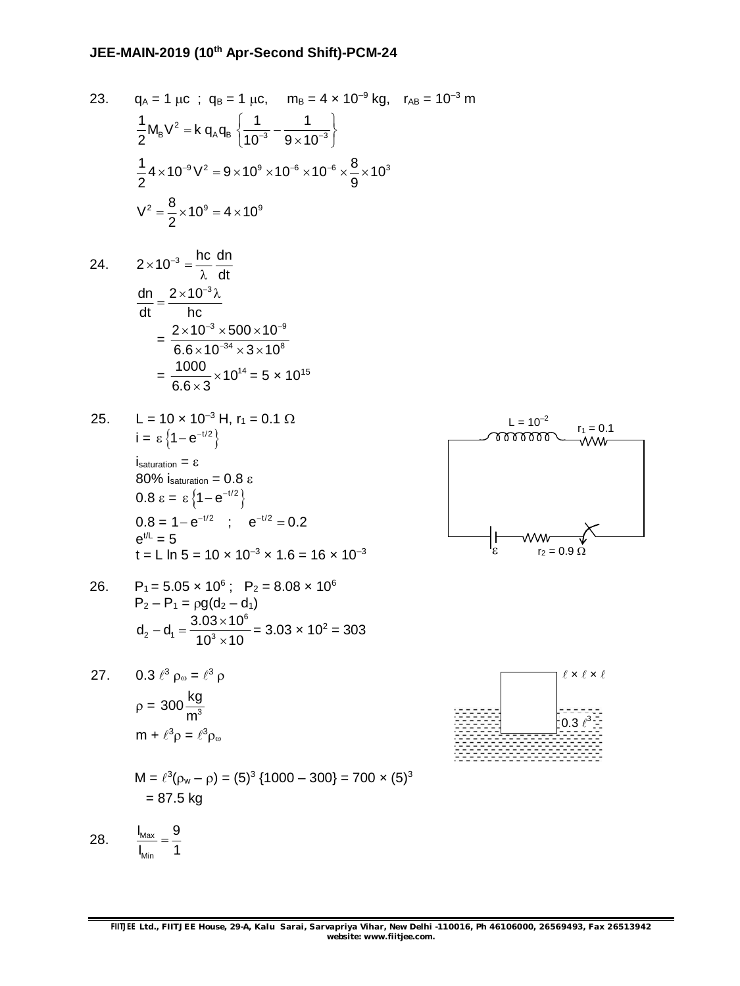23. 
$$
q_A = 1 \mu c
$$
;  $q_B = 1 \mu c$ ,  $m_B = 4 \times 10^{-9} \text{ kg}$ ,  $r_{AB} = 10^{-3} \text{ m}$   
\n
$$
\frac{1}{2} M_B V^2 = k q_A q_B \left\{ \frac{1}{10^{-3}} - \frac{1}{9 \times 10^{-3}} \right\}
$$
\n
$$
\frac{1}{2} 4 \times 10^{-9} V^2 = 9 \times 10^9 \times 10^{-6} \times 10^{-6} \times \frac{8}{9} \times 10^3
$$
\n
$$
V^2 = \frac{8}{2} \times 10^9 = 4 \times 10^9
$$

24. 
$$
2 \times 10^{-3} = \frac{hc}{\lambda} \frac{dn}{dt}
$$

$$
\frac{dn}{dt} = \frac{2 \times 10^{-3} \lambda}{hc}
$$

$$
= \frac{2 \times 10^{-3} \times 500 \times 10^{-9}}{6.6 \times 10^{-34} \times 3 \times 10^{8}}
$$

$$
= \frac{1000}{6.6 \times 3} \times 10^{14} = 5 \times 10^{15}
$$

25. 
$$
L = 10 \times 10^{-3} \text{ H, r}_1 = 0.1 \ \Omega
$$
  
\n $i = \epsilon \{1 - e^{-t/2}\}$   
\n $i_{saturation} = \epsilon$   
\n80% isaturation = 0.8  $\epsilon$   
\n0.8  $\epsilon = \epsilon \{1 - e^{-t/2}\}$   
\n0.8 = 1 - e<sup>-t/2</sup> ;  $e^{-t/2} = 0.2$   
\n $e^{t/L} = 5$   
\n $t = L \ln 5 = 10 \times 10^{-3} \times 1.6 = 16 \times 10^{-3}$ 

26. 
$$
P_1 = 5.05 \times 10^6
$$
;  $P_2 = 8.08 \times 10^6$   
\n $P_2 - P_1 = \rho g (d_2 - d_1)$   
\n $d_2 - d_1 = \frac{3.03 \times 10^6}{10^3 \times 10} = 3.03 \times 10^2 = 303$ 

27. 
$$
0.3 \ell^3 \rho_\omega = \ell^3 \rho
$$

$$
\rho = 300 \frac{\text{kg}}{\text{m}^3}
$$

$$
\text{m} + \ell^3 \rho = \ell^3 \rho_\omega
$$

$$
M = \ell^{3}(\rho_{w} - \rho) = (5)^{3} \{1000 - 300\} = 700 \times (5)^{3}
$$
  
= 87.5 kg

28.  $\frac{Max}{b}$ 

Min  $I_{\text{Max}}$  9  $I_{\text{Min}}$  1  $=$ 



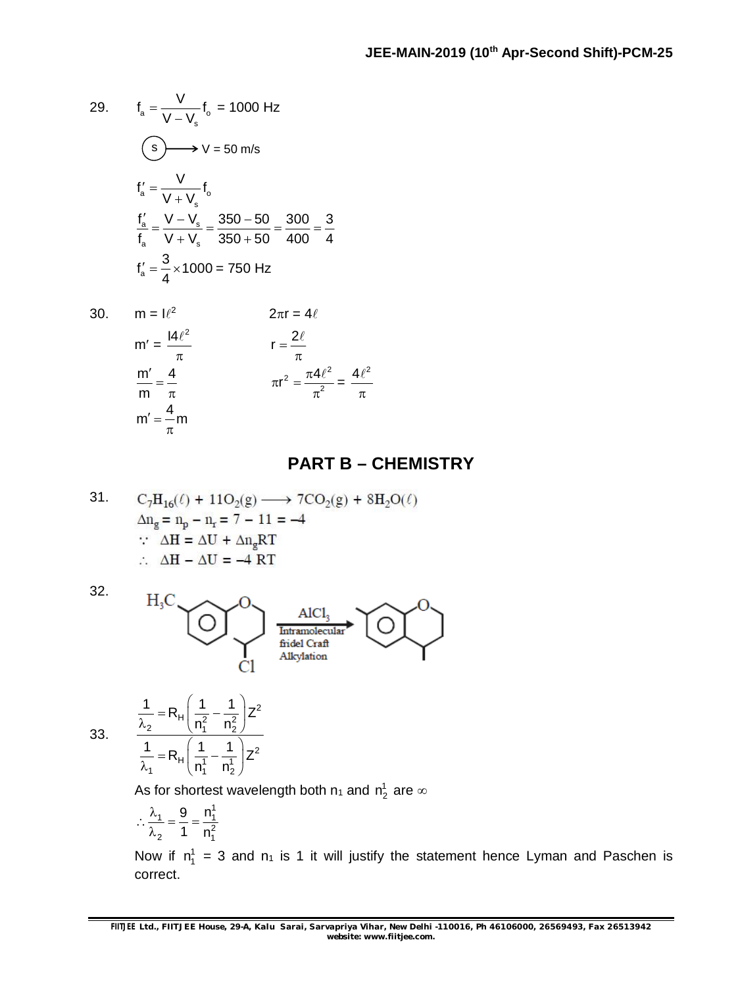29. 
$$
f_a = \frac{V}{V - V_s} f_o = 1000 \text{ Hz}
$$
  
\n
$$
\left(\frac{S}{V} - V_s\right) = 50 \text{ m/s}
$$
\n
$$
f'_a = \frac{V}{V + V_s} f_o
$$
\n
$$
\frac{f'_a}{f_a} = \frac{V - V_s}{V + V_s} = \frac{350 - 50}{350 + 50} = \frac{300}{400} = \frac{3}{4}
$$
\n
$$
f'_a = \frac{3}{4} \times 1000 = 750 \text{ Hz}
$$

 $m =$ 

m

$$
m = 1\ell^{2}
$$
\n
$$
2\pi r = 4\ell
$$
\n
$$
m' = \frac{14\ell^{2}}{\pi}
$$
\n
$$
r = \frac{2\ell}{\pi}
$$
\n
$$
m' = \frac{4}{\pi}
$$
\n
$$
m' = \frac{4}{\pi}m
$$
\n
$$
m'' = \frac{4}{\pi}m
$$

### **PART B – CHEMISTRY**

31. 
$$
C_7H_{16}(\ell) + 11O_2(g) \longrightarrow 7CO_2(g) + 8H_2O(\ell)
$$

$$
\Delta n_g = n_p - n_r = 7 - 11 = -4
$$

$$
\therefore \Delta H = \Delta U + \Delta n_g RT
$$

$$
\therefore \Delta H - \Delta U = -4 RT
$$

32.



33.

 $\frac{1}{1}$  = R<sub>H</sub> $\left(\frac{1}{n_1^1} - \frac{1}{n_2^1}\right)Z^2$  $\mathsf{n}_1^{\scriptscriptstyle{1}}$   $\mathsf{n}_2^{\scriptscriptstyle{1}}$  $\frac{1}{\lambda_1} = R_{H} \left( \frac{1}{n_1^2} - \frac{1}{n_2^2} \right) Z$ As for shortest wavelength both  $\mathsf{n}_1$  and  $\mathsf{n}_2^\mathsf{1}$  are  $\infty$ 

$$
\therefore \frac{\lambda_1}{\lambda_2} = \frac{9}{1} = \frac{n_1^1}{n_1^2}
$$

 $\frac{1}{2}$  = R<sub>H</sub> $\left(\frac{1}{n_1^2} - \frac{1}{n_2^2}\right)Z^2$ 

 $(1 \quad 1)$ 

 $(1 \quad 1)$ 

 $\frac{1}{2}$  = R<sub>H</sub> $\frac{1}{2}$  -  $\frac{1}{2}$  $z^2$  $n_1^2 - n_2^2$ 

 $\frac{1}{\lambda_2} = R_{\rm H} \left( \frac{1}{n_1^2} - \frac{1}{n_2^2} \right) Z$ 

 $\frac{1}{2}$  = R<sub>H</sub> $\left(\frac{1}{1} - \frac{1}{1}\right)$ Z<sup>2</sup>

Now if  $n_1^1 = 3$  and  $n_1$  is 1 it will justify the statement hence Lyman and Paschen is correct.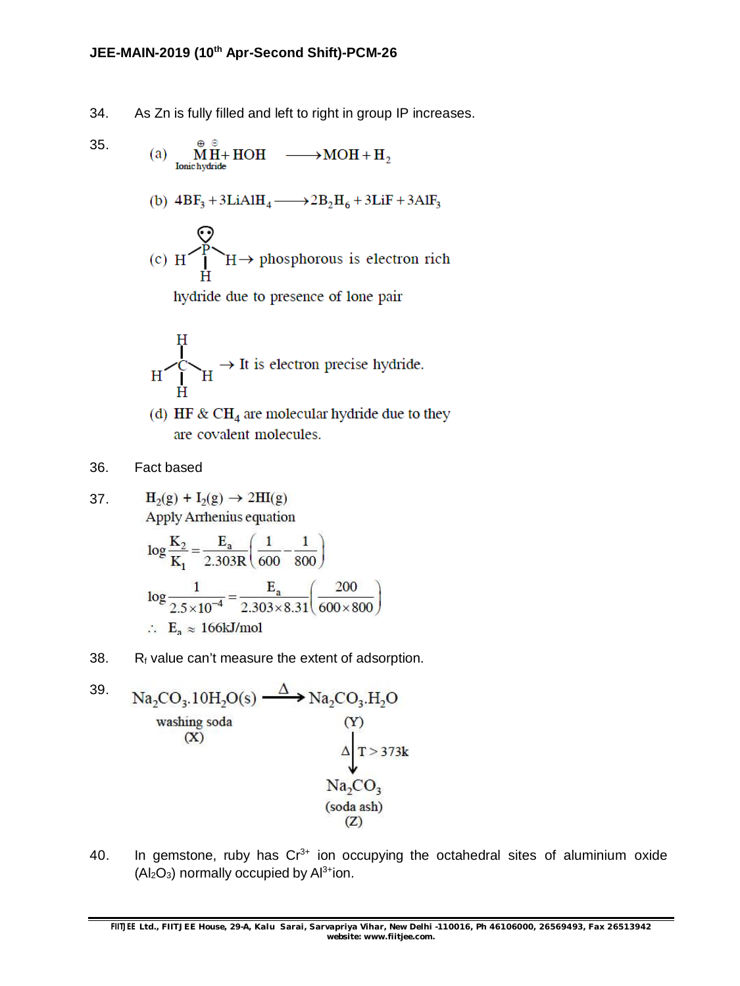34. As Zn is fully filled and left to right in group IP increases.

35. (a) 
$$
\mathop{\mathbf{M} \atop \mathbf{I}\text{onic hydrotide}}^{\oplus} H \rightarrow \text{HOH} \longrightarrow \text{MOH} + \text{H}_2
$$

(b) 
$$
4BF_3 + 3LiAlH_4 \longrightarrow 2B_2H_6 + 3LiF + 3AlF_3
$$

(c) 
$$
H \rightarrow H \rightarrow
$$
 phosphorous is electron rich

hydride due to presence of lone pair

$$
\begin{array}{ccc}\nH & \downarrow \\
\downarrow & \downarrow \\
H & \downarrow \\
H & \downarrow\n\end{array}
$$

- (d) HF &  $CH<sub>4</sub>$  are molecular hydride due to they are covalent molecules.
- 36. Fact based

 $H_2(g) + I_2(g) \rightarrow 2HI(g)$ 37. **Apply Arrhenius equation** 

$$
\log \frac{K_2}{K_1} = \frac{E_a}{2.303R} \left( \frac{1}{600} - \frac{1}{800} \right)
$$
  

$$
\log \frac{1}{2.5 \times 10^{-4}} = \frac{E_a}{2.303 \times 8.31} \left( \frac{200}{600 \times 800} \right)
$$
  

$$
\therefore E_a \approx 166 \text{kJ/mol}
$$

38.  $R_f$  value can't measure the extent of adsorption.

39. Na<sub>2</sub>CO<sub>3</sub>.10H<sub>2</sub>O(s) 
$$
\xrightarrow{\Delta}
$$
 Na<sub>2</sub>CO<sub>3</sub>.H<sub>2</sub>O  
washing soda  
(X)  
 $\Delta$   
 $\Lambda$   
 $\Gamma$ >373k  
 $Na_2CO_3$   
(soda ash)  
(Z)

40. In gemstone, ruby has  $Cr^{3+}$  ion occupying the octahedral sites of aluminium oxide  $(Al_2O_3)$  normally occupied by  $Al^{3+}$ ion.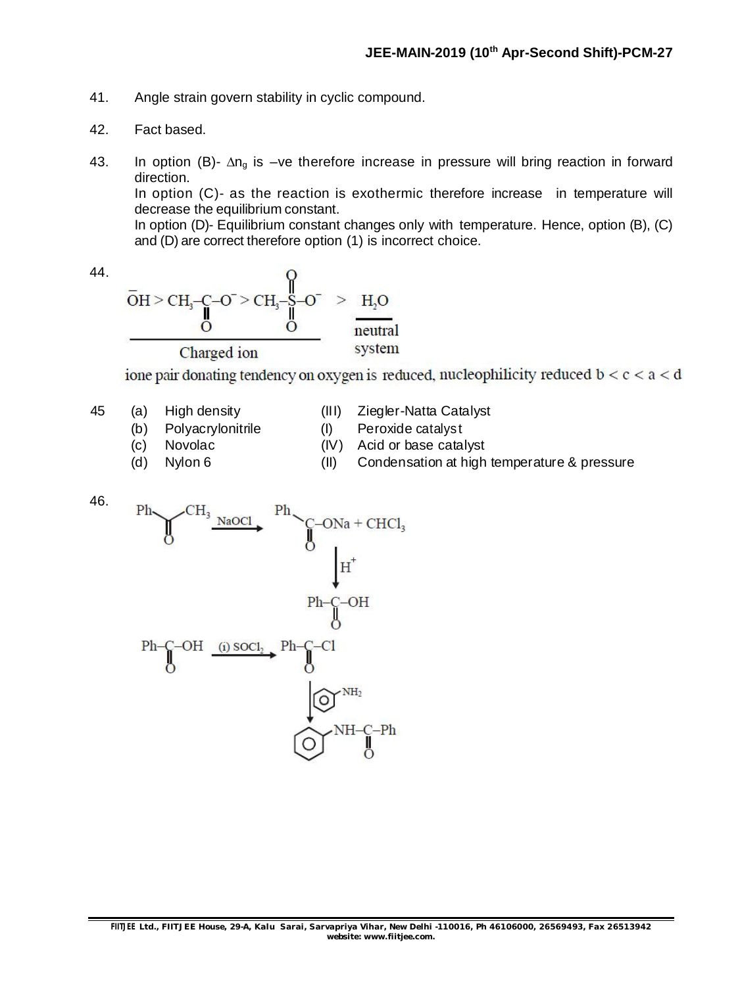- 41. Angle strain govern stability in cyclic compound.
- 42. Fact based.
- 43. In option (B)-  $\Delta n_g$  is –ve therefore increase in pressure will bring reaction in forward direction. In option (C)- as the reaction is exothermic therefore increase in temperature will decrease the equilibrium constant. In option (D)- Equilibrium constant changes only with temperature. Hence, option (B), (C) and (D) are correct therefore option (1) is incorrect choice.

44.

$$
\overline{O}H > CH3-C-O^{-} > CH3-S-O^{-} > H2O
$$
  
\n
$$
O
$$
  
\n
$$
O
$$
  
\n
$$
O
$$
  
\n
$$
O
$$
  
\n
$$
O
$$
  
\n
$$
O
$$
  
\n
$$
O
$$
  
\n
$$
O
$$
  
\n
$$
O
$$
  
\n
$$
O
$$
  
\n
$$
O
$$
  
\n
$$
O
$$
  
\n
$$
O
$$
  
\n
$$
O
$$
  
\n
$$
O
$$
  
\n
$$
O
$$
  
\n
$$
O
$$
  
\n
$$
O
$$
  
\n
$$
O
$$
  
\n
$$
O
$$
  
\n
$$
O
$$
  
\n
$$
O
$$
  
\n
$$
O
$$
  
\n
$$
O
$$
  
\n
$$
O
$$
  
\n
$$
O
$$
  
\n
$$
O
$$
  
\n
$$
O
$$
  
\n
$$
O
$$
  
\n
$$
O
$$
  
\n
$$
O
$$
  
\n
$$
O
$$
  
\n
$$
O
$$
  
\n
$$
O
$$
  
\n
$$
O
$$
  
\n
$$
O
$$
  
\n
$$
O
$$
  
\n
$$
O
$$
  
\n
$$
O
$$
  
\n
$$
O
$$
  
\n
$$
O
$$
  
\n
$$
O
$$
  
\n
$$
O
$$
  
\n
$$
O
$$
  
\n
$$
O
$$
  
\n
$$
O
$$
  
\n
$$
O
$$
  
\n
$$
O
$$
  
\n
$$
O
$$
  
\n
$$
O
$$
  
\n
$$
O
$$
  
\n
$$
O
$$
  
\n
$$
O
$$
  
\n
$$
O
$$
  
\n
$$
O
$$
<

 $\Omega$ 

Charged ion ione pair donating tendency on oxygen is reduced, nucleophilicity reduced  $b < c < a < d$ 

45 (a) High density (III) Ziegler-Natta Catalyst

- (b) Polyacrylonitrile (I) Peroxide catalyst
- (c) Novolac (IV) Acid or base catalyst
- 
- 
- (d) Nylon 6 (II) Condensation at high temperature & pressure

46.

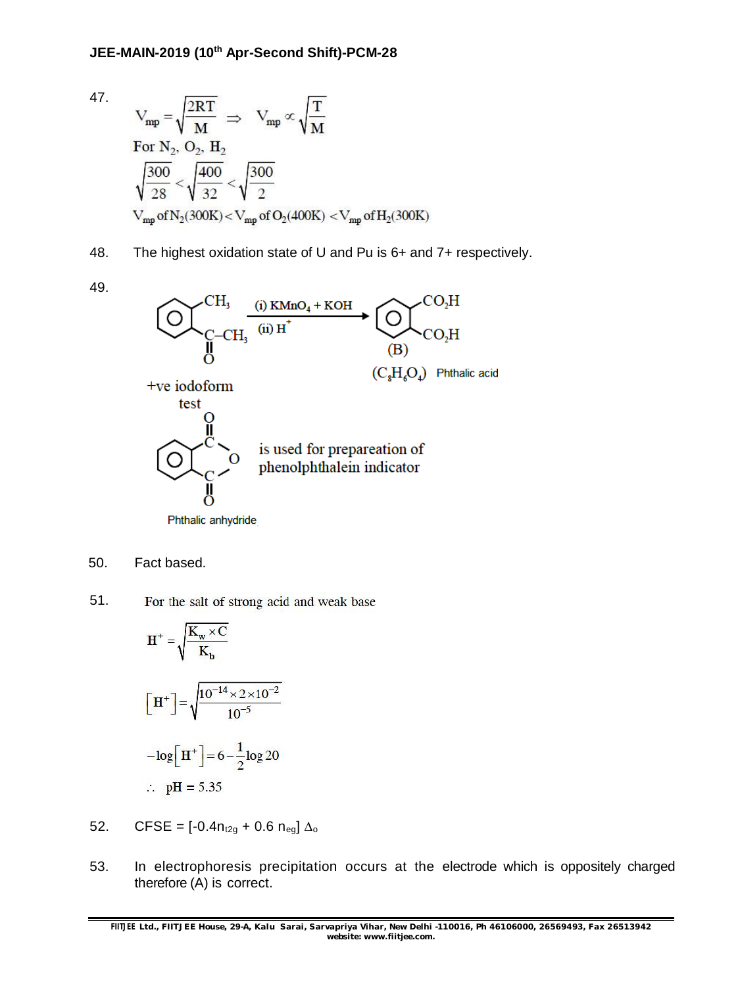47.

$$
V_{mp} = \sqrt{\frac{2RT}{M}} \implies V_{mp} \propto \sqrt{\frac{T}{M}}
$$
  
For N<sub>2</sub>, O<sub>2</sub>, H<sub>2</sub>  

$$
\sqrt{\frac{300}{28}} < \sqrt{\frac{400}{32}} < \sqrt{\frac{300}{2}}
$$
  

$$
V_{mp} \text{ of N}_2(300K) < V_{mp} \text{ of O}_2(400K) < V_{mp} \text{ of H}_2(300K)
$$

- 48. The highest oxidation state of U and Pu is 6+ and 7+ respectively.
- 49.



50. Fact based.

51. For the salt of strong acid and weak base

$$
H^{+} = \sqrt{\frac{K_{w} \times C}{K_{b}}}
$$
  
\n
$$
\left[H^{+}\right] = \sqrt{\frac{10^{-14} \times 2 \times 10^{-2}}{10^{-5}}}
$$
  
\n
$$
- \log\left[H^{+}\right] = 6 - \frac{1}{2} \log 20
$$
  
\n∴ pH = 5.35

- 52. CFSE =  $[-0.4n_{t2g} + 0.6 n_{eg}] \Delta_0$
- 53. In electrophoresis precipitation occurs at the electrode which is oppositely charged therefore (A) is correct.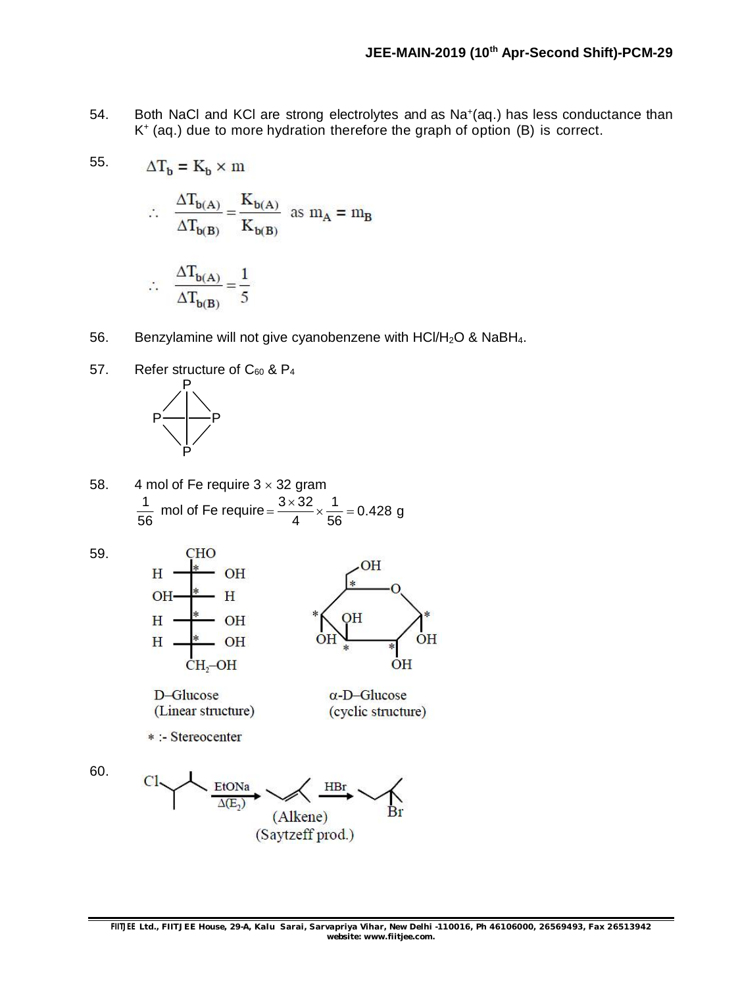- 54. Both NaCl and KCI are strong electrolytes and as Na<sup>+</sup>(aq.) has less conductance than K + (aq.) due to more hydration therefore the graph of option (B) is correct.
	- $\therefore \quad \frac{\Delta T_{b(A)}}{\Delta T_{b(B)}} = \frac{K_{b(A)}}{K_{b(B)}}$  as  $m_A = m_B$

$$
\therefore \quad \frac{\Delta T_{b(A)}}{\Delta T_{b(B)}} = \frac{1}{5}
$$

 $\Delta T_b = K_b \times m$ 

- 56. Benzylamine will not give cyanobenzene with  $HCI/H<sub>2</sub>O$  & NaBH<sub>4</sub>.
- 57. Refer structure of  $C_{60}$  &  $P_4$



58. 4 mol of Fe require  $3 \times 32$  gram 1 56 mol of Fe require =  $\frac{3 \times 32}{1} \times \frac{1}{50} = 0.428$  g 4 56  $=\frac{3\times32}{4}\times\frac{1}{50}=0$ 

59.

55.

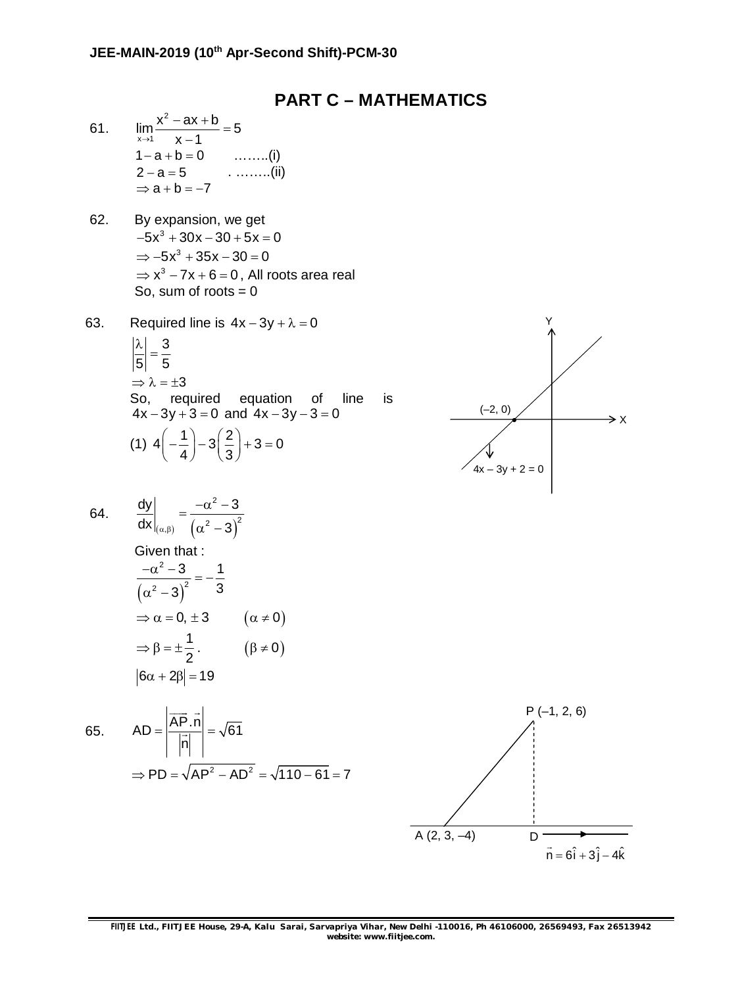### **PART C – MATHEMATICS**

- 61. 2  $\lim_{x\to 1} \frac{x^2 - ax + b}{x - 1} = 5$  $\rightarrow$ 1  $x-1$  $\frac{-ax+b}{4}$  $\overline{a}$  $1 - a + b = 0$  ........(i)  $2 - a = 5$  . ……..(ii)  $\Rightarrow$  a + b = -7
- 62. By expansion, we get  $-5x^3 + 30x - 30 + 5x = 0$  $\Rightarrow -5x^3 + 35x - 30 = 0$  $\Rightarrow$  x<sup>3</sup> - 7x + 6 = 0, All roots area real So, sum of roots  $= 0$
- 63. Required line is  $4x 3y + \lambda = 0$ 3 5 5  $\frac{\lambda}{\Xi}$  =  $\Rightarrow \lambda = \pm 3$ So, required equation of line is  $4x - 3y + 3 = 0$  and  $4x - 3y - 3 = 0$ (1)  $4\left(-\frac{1}{1}\right) - 3\left(\frac{2}{2}\right) + 3 = 0$ 4)  $(3)$  $\left(-\frac{1}{4}\right) - 3\left(\frac{2}{3}\right) + 3 = 0$



64. 
$$
\frac{dy}{dx}\Big|_{(\alpha,\beta)} = \frac{-\alpha^2 - 3}{(\alpha^2 - 3)^2}
$$
  
Given that :  

$$
\frac{-\alpha^2 - 3}{(\alpha^2 - 3)^2} = -\frac{1}{3}
$$

$$
\Rightarrow \alpha = 0, \pm 3
$$

$$
\Rightarrow \beta = \pm \frac{1}{2}.
$$

$$
|\delta \alpha + 2\beta| = 19
$$

 $\left| \overrightarrow{AB} \right|$ 

$$
f_{\rm{max}}
$$

65. 
$$
AD = \left| \frac{AP \cdot n}{\left| \vec{n} \right|} \right| = \sqrt{61}
$$
  
\n $\Rightarrow PD = \sqrt{AP^2 - AD^2} = \sqrt{110 - 61} = 7$ 

 $(\alpha \neq 0)$ 

 $(\beta \neq 0)$ 

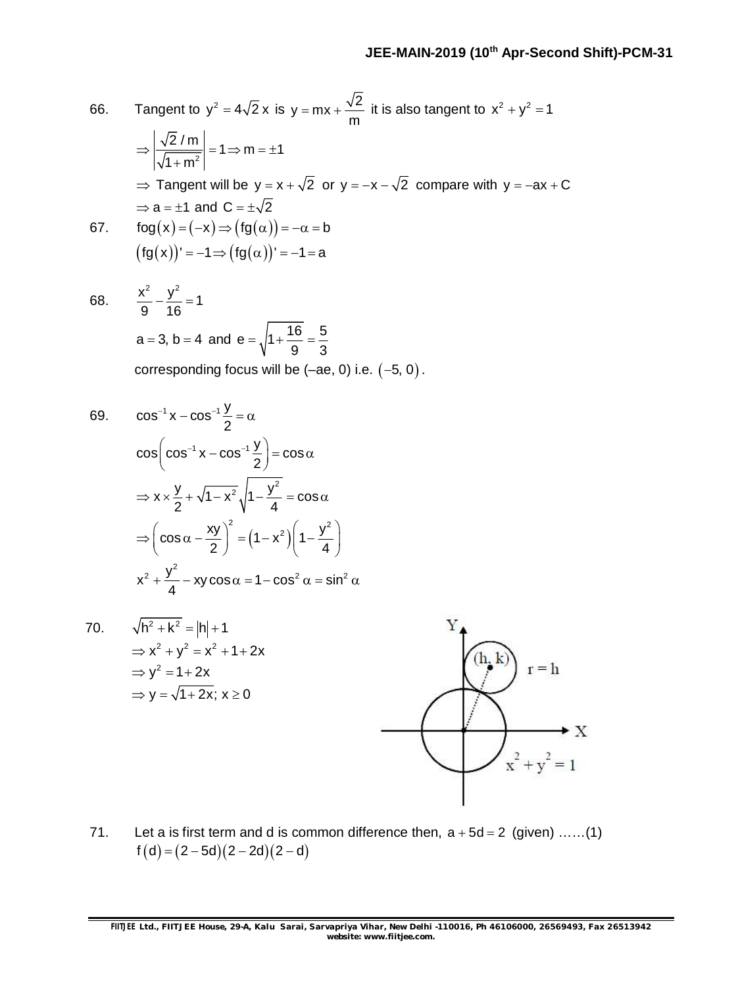66. Tangent to 
$$
y^2 = 4\sqrt{2} x
$$
 is  $y = mx + \frac{\sqrt{2}}{m}$  it is also tangent to  $x^2 + y^2 = 1$   
\n
$$
\Rightarrow \left| \frac{\sqrt{2}/m}{\sqrt{1+m^2}} \right| = 1 \Rightarrow m = \pm 1
$$
\n
$$
\Rightarrow
$$
 Tangent will be  $y = x + \sqrt{2}$  or  $y = -x - \sqrt{2}$  compare with  $y = -ax + C$   
\n
$$
\Rightarrow a = \pm 1
$$
 and  $C = \pm \sqrt{2}$   
\n67. fog(x) = (-x)  $\Rightarrow$  (fg(x))<sup>1</sup> = -1 = a  
\n(fg(x))<sup>1</sup> = -1  $\Rightarrow$  (fg(\alpha))<sup>1</sup> = -1 = a  
\n68.  $\frac{x^2}{9} - \frac{y^2}{16} = 1$   
\n $a = 3, b = 4$  and  $e = \sqrt{1 + \frac{16}{9}} = \frac{5}{3}$   
\ncorresponding focus will be (-ae, 0) i.e. (-5, 0).  
\n69.  $\cos^{-1} x - \cos^{-1} \frac{y}{2} = \alpha$   
\n $\cos \left(\cos^{-1} x - \cos^{-1} \frac{y}{2}\right) = \cos \alpha$   
\n
$$
\Rightarrow x \times \frac{y}{2} + \sqrt{1 - x^2} \sqrt{1 - \frac{y^2}{4}} = \cos \alpha
$$
  
\n
$$
\Rightarrow \left(\cos \alpha - \frac{xy}{2}\right)^2 = (1 - x^2) \left(1 - \frac{y^2}{4}\right)
$$
  
\n $x^2 + \frac{y^2}{4} - xy \cos \alpha = 1 - \cos^2 \alpha = \sin^2 \alpha$   
\n70.  $\sqrt{h^2 + k^2} = |h| + 1$   
\n $\Rightarrow x^2 + y^2 = x^2 + 1 + 2x$   
\n $\Rightarrow y^2 = 1 + 2x$   
\n $\Rightarrow y = \sqrt{1 + 2x}; x \ge 0$ 

71. Let a is first term and d is common difference then,  $a + 5d = 2$  (given) ......(1)  $f(d) = (2 - 5d)(2 - 2d)(2 - d)$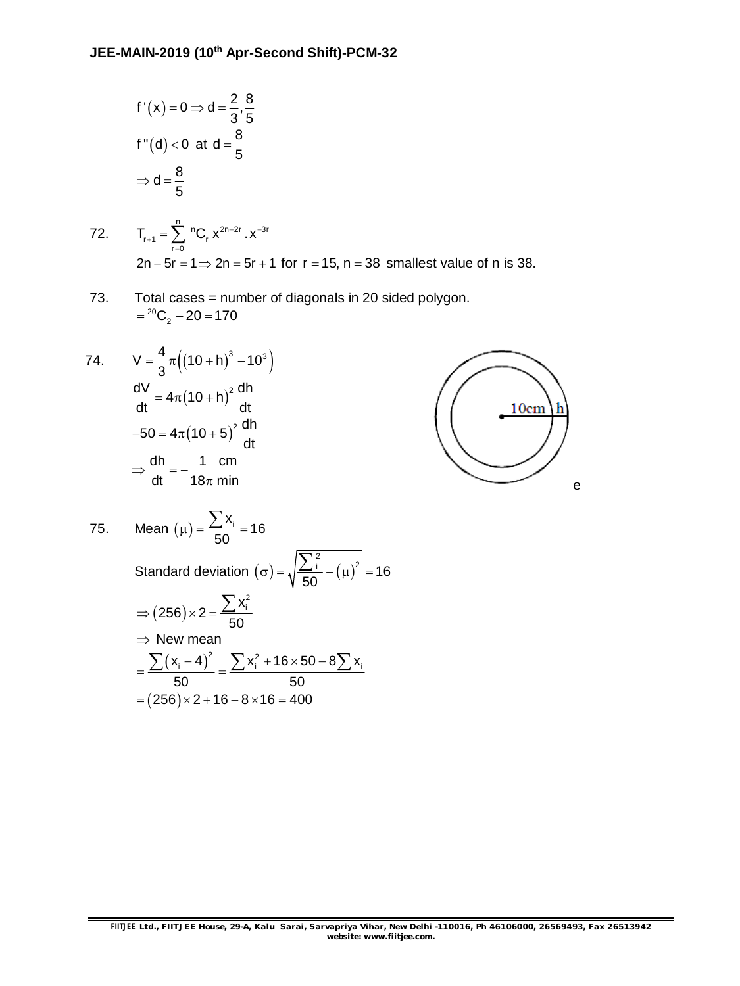$$
f'(x) = 0 \Rightarrow d = \frac{2}{3}, \frac{8}{5}
$$
  

$$
f''(d) < 0 \text{ at } d = \frac{8}{5}
$$
  

$$
\Rightarrow d = \frac{8}{5}
$$

72. 
$$
T_{r+1} = \sum_{r=0}^{n} {}^{n}C_{r} x^{2n-2r} \cdot x^{-3r}
$$
  
2n-5r = 1  $\Rightarrow$  2n = 5r + 1 for r = 15, n = 38 smallest value of n is 38.

73. Total cases = number of diagonals in 20 sided polygon.  $= {}^{20}C_2 - 20 = 170$ 

74. 
$$
V = \frac{4}{3}\pi \left( (10 + h)^3 - 10^3 \right)
$$

$$
\frac{dV}{dt} = 4\pi (10 + h)^2 \frac{dh}{dt}
$$

$$
-50 = 4\pi (10 + 5)^2 \frac{dh}{dt}
$$

$$
\Rightarrow \frac{dh}{dt} = -\frac{1}{18\pi} \frac{dm}{min}
$$

75. Mean (μ) = 
$$
\frac{\sum x_i}{50} = 16
$$
  
\nStandard deviation (σ) =  $\sqrt{\frac{\sum i}{50}} - (\mu)^2 = 16$   
\n $\Rightarrow (256) \times 2 = \frac{\sum x_i^2}{50}$   
\n $\Rightarrow$  New mean  
\n $= \frac{\sum (x_i - 4)^2}{50} = \frac{\sum x_i^2 + 16 \times 50 - 8 \sum x_i}{50}$   
\n= (256) × 2 + 16 - 8 × 16 = 400

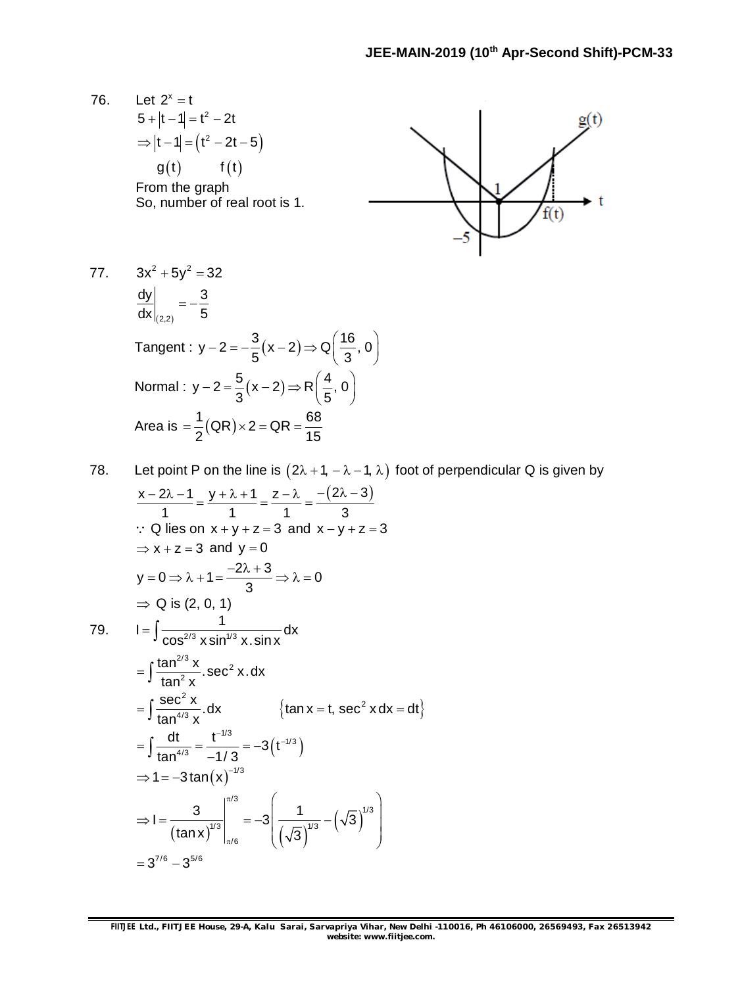76. Let  $2^{x} = t$  $g(t)$  $5 + |t - 1| = t^2 - 2t$  $\Rightarrow$   $|t-1|$  =  $(t^2 - 2t - 5)$  $g(t)$   $f(t)$ From the graph So, number of real root is 1.  $f(t)$ 77.  $3x^2 + 5y^2 = 32$ dy  $\vert$  3  $=-\frac{1}{l}$  $dx|_{(2,2)}$  5  $(2,2)$ Tangent :  $y - 2 = -\frac{3}{5}(x - 2) \Rightarrow Q\left(\frac{16}{3}, 0\right)$  $-2 = -\frac{3}{5}(x-2) \Rightarrow Q\left(\frac{16}{3}, 0\right)$  $5'$   $(3)$ Normal :  $y - 2 = \frac{5}{2}(x - 2) \Rightarrow R\left(\frac{4}{5}, 0\right)$  $-2 = \frac{5}{3}(x-2) \Rightarrow R(\frac{4}{5}, 0)$  $3'$   $(5)$ Area is  $= \frac{1}{2} (QR) \times 2 = QR = \frac{68}{15}$  $=\frac{1}{6}(QR) \times 2 = QR =$  $2^{(41)}$   $41$ 

78. Let point P on the line is 
$$
(2\lambda + 1, -\lambda - 1, \lambda)
$$
 foot of perpendicular Q is given by  
\n
$$
\frac{x-2\lambda-1}{1} = \frac{y+\lambda+1}{1} = \frac{z-\lambda}{1} = \frac{-(2\lambda-3)}{3}
$$
\n∴ Q lies on x + y + z = 3 and x - y + z = 3  
\n⇒ x + z = 3 and y = 0  
\ny = 0 ⇒  $\lambda + 1 = \frac{-2\lambda + 3}{3}$  ⇒  $\lambda = 0$   
\n⇒ Q is (2, 0, 1)  
\n79. I =  $\int \frac{1}{\cos^{2/3} x \sin^{1/3} x \cdot \sin x} dx$   
\n
$$
= \int \frac{\tan^{2/3} x}{\tan^2 x} . \sec^2 x . dx
$$
  
\n
$$
= \int \frac{\sec^2 x}{\tan^{4/3} x} dx \qquad \{\tan x = t, \sec^2 x dx = dt\}
$$
  
\n
$$
= \int \frac{dt}{\tan^{4/3} x} = \frac{t^{-1/3}}{-1/3} = -3(t^{-1/3})
$$
  
\n⇒ 1 = -3 tan(x)<sup>-1/3</sup>  
\n⇒ 1 =  $\frac{3}{(\tan x)^{1/3}}|_{\pi/6}^{\pi/3} = -3\left(\frac{1}{(\sqrt{3})^{1/3}} - (\sqrt{3})^{1/3}\right)$   
\n
$$
= 3^{7/6} - 3^{5/6}
$$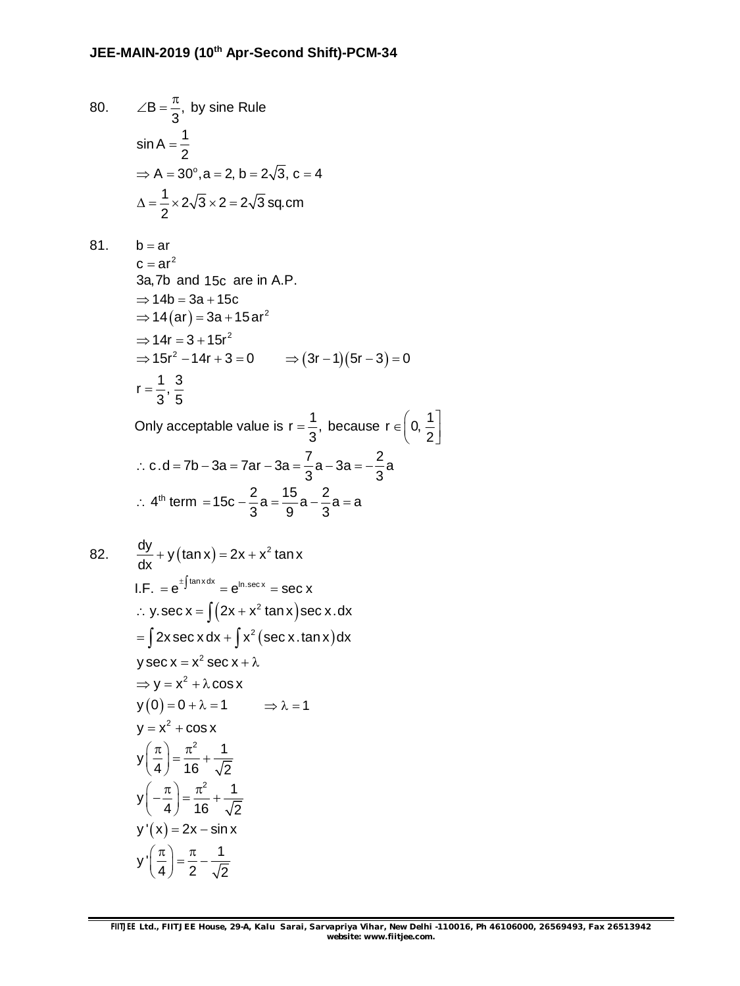80. 
$$
\angle B = \frac{\pi}{3}
$$
, by sine Rule  
\n $\sin A = \frac{1}{2}$   
\n $\Rightarrow A = 30^{\circ}, a = 2, b = 2\sqrt{3}, c = 4$   
\n $\Delta = \frac{1}{2} \times 2\sqrt{3} \times 2 = 2\sqrt{3}$  sq.cm

81.  $b = ar$  $c = ar^2$ 3a,7b and 15c are in A.P.  $\Rightarrow$  14b = 3a + 15c  $\Rightarrow$  14 $\rm (ar)$  = 3a + 15 ar $\rm ^2$  $\Rightarrow$  14r = 3 + 15r<sup>2</sup>  $\Rightarrow 15r^2 - 14r + 3 = 0$   $\Rightarrow (3r - 1)(5r - 3) = 0$  $r = \frac{1}{2}, \frac{3}{2}$  $3^{\degree}5$  $=$ Only acceptable value is  $r = \frac{1}{2}$ ,  $=\frac{1}{2}$ , because r  $\in$  0,  $\frac{1}{2}$  $\in \left[0, \frac{1}{2}\right]$ 

∴ c.d = 7b – 3a = 7ar – 3a = 
$$
\frac{7}{3}
$$
a – 3a =  $-\frac{2}{3}$ a  
\n∴ 4<sup>th</sup> term = 15c -  $\frac{2}{3}$ a =  $\frac{15}{9}$ a -  $\frac{2}{3}$ a = a

82. 
$$
\frac{dy}{dx} + y(\tan x) = 2x + x^2 \tan x
$$
  
\nI.F. =  $e^{\pm \int \tan x dx} = e^{\ln \sec x} = \sec x$   
\n $\therefore y \cdot \sec x = \int (2x + x^2 \tan x) \sec x \cdot dx$   
\n $= \int 2x \sec x dx + \int x^2 (\sec x \cdot \tan x) dx$   
\n $y \sec x = x^2 \sec x + \lambda$   
\n $\Rightarrow y = x^2 + \lambda \cos x$   
\n $y(0) = 0 + \lambda = 1 \Rightarrow \lambda = 1$   
\n $y = x^2 + \cos x$   
\n $y\left(\frac{\pi}{4}\right) = \frac{\pi^2}{16} + \frac{1}{\sqrt{2}}$   
\n $y\left(-\frac{\pi}{4}\right) = \frac{\pi^2}{16} + \frac{1}{\sqrt{2}}$   
\n $y'(x) = 2x - \sin x$   
\n $y'\left(\frac{\pi}{4}\right) = \frac{\pi}{2} - \frac{1}{\sqrt{2}}$ 

2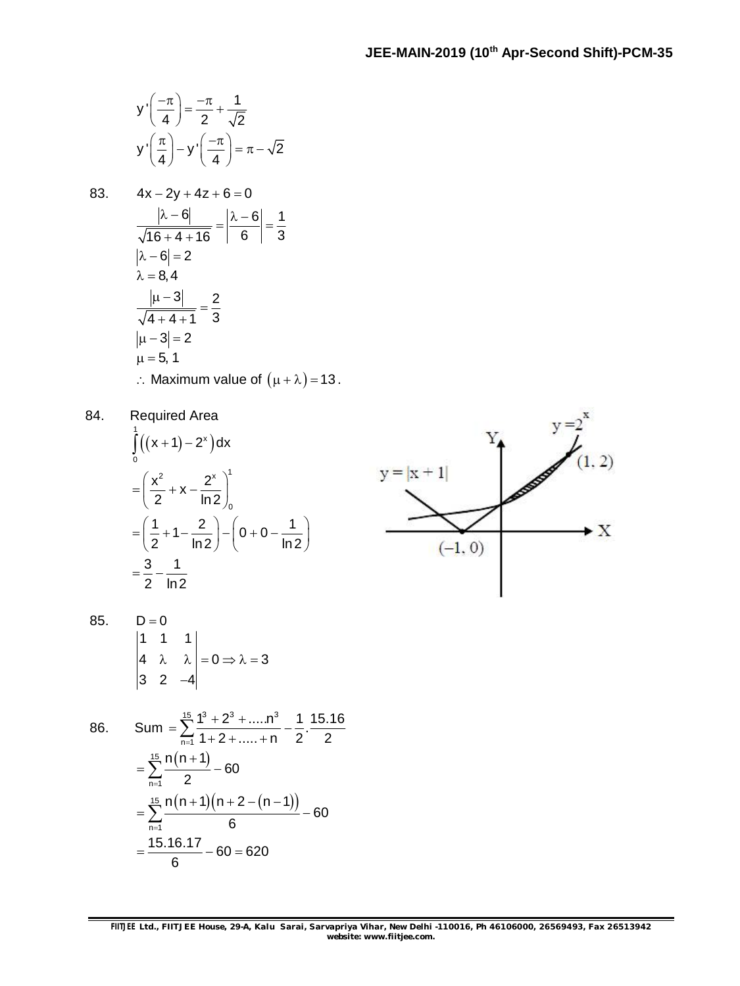$$
y'\left(\frac{-\pi}{4}\right) = \frac{-\pi}{2} + \frac{1}{\sqrt{2}}
$$

$$
y'\left(\frac{\pi}{4}\right) - y'\left(\frac{-\pi}{4}\right) = \pi - \sqrt{2}
$$

83. 
$$
4x-2y+4z+6=0
$$
  
\n
$$
\frac{|\lambda-6|}{\sqrt{16+4+16}} = \frac{|\lambda-6|}{6} = \frac{1}{3}
$$
\n
$$
|\lambda-6| = 2
$$
\n
$$
\lambda = 8, 4
$$
\n
$$
\frac{|\mu-3|}{\sqrt{4+4+1}} = \frac{2}{3}
$$
\n
$$
|\mu-3| = 2
$$
\n
$$
\mu = 5, 1
$$
\n∴ Maximum value of  $(\mu + \lambda) = 13$ .

84. Required Area

$$
\int_{0}^{1} ((x+1)-2^{x}) dx
$$
\n
$$
= \left(\frac{x^{2}}{2} + x - \frac{2^{x}}{\ln 2}\right)_{0}^{1}
$$
\n
$$
= \left(\frac{1}{2} + 1 - \frac{2}{\ln 2}\right) - \left(0 + 0 - \frac{1}{\ln 2}\right)
$$
\n
$$
= \frac{3}{2} - \frac{1}{\ln 2}
$$



85.  $D = 0$ 1 1 1  $4 \quad \lambda \quad \lambda \mid =0 \Rightarrow \lambda = 3$ 3 2  $-4$  $\lambda \quad \lambda \mid =0 \Rightarrow \lambda =3$  $\overline{\phantom{0}}$ 

86. Sum = 
$$
\sum_{n=1}^{15} \frac{1^3 + 2^3 + \dots + n^3}{1 + 2 + \dots + n} - \frac{1}{2} \cdot \frac{15.16}{2}
$$
  
= 
$$
\sum_{n=1}^{15} \frac{n(n+1)}{2} - 60
$$
  
= 
$$
\sum_{n=1}^{15} \frac{n(n+1)(n+2-(n-1))}{6} - 60
$$
  
= 
$$
\frac{15.16.17}{6} - 60 = 620
$$